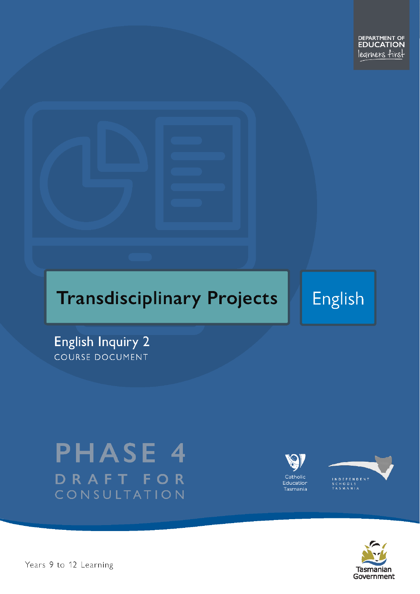

**English** 

**English Inquiry 2** COURSE DOCUMENT

# **PHASE 4** DRAFT FOR CONSULTATION







Pears 9 to 12 Learning – Course Name Page 1 of 52 and 52 of 52 and 52 and 52 and 52 and 52 and 52 and 52 and 52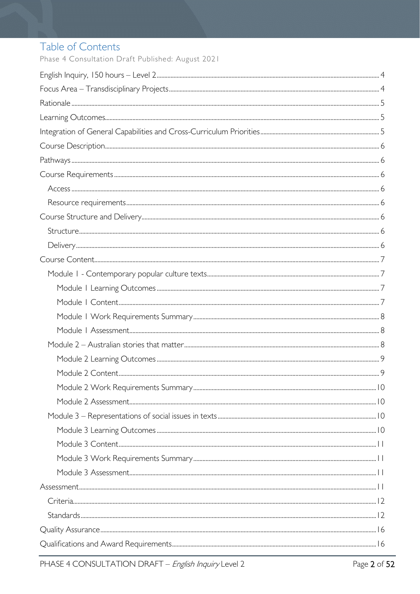# Table of Contents

Phase 4 Consultation Draft Published: August 2021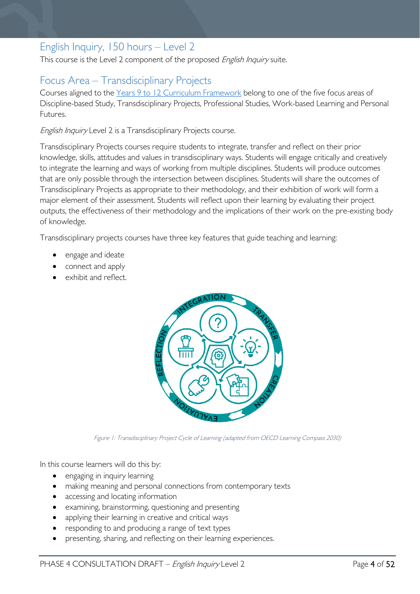# <span id="page-3-0"></span>English Inquiry, 150 hours – Level 2

This course is the Level 2 component of the proposed English Inquiry suite.

# <span id="page-3-1"></span>Focus Area – Transdisciplinary Projects

Courses aligned to the [Years 9 to 12 Curriculum Framework](https://publicdocumentcentre.education.tas.gov.au/library/Shared%20Documents/Education%209-12%20Frameworks%20A3%20WEB%20POSTER.pdf) belong to one of the five focus areas of Discipline-based Study, Transdisciplinary Projects, Professional Studies, Work-based Learning and Personal Futures.

English Inquiry Level 2 is a Transdisciplinary Projects course.

Transdisciplinary Projects courses require students to integrate, transfer and reflect on their prior knowledge, skills, attitudes and values in transdisciplinary ways. Students will engage critically and creatively to integrate the learning and ways of working from multiple disciplines. Students will produce outcomes that are only possible through the intersection between disciplines. Students will share the outcomes of Transdisciplinary Projects as appropriate to their methodology, and their exhibition of work will form a major element of their assessment. Students will reflect upon their learning by evaluating their project outputs, the effectiveness of their methodology and the implications of their work on the pre-existing body of knowledge.

Transdisciplinary projects courses have three key features that guide teaching and learning:

- engage and ideate
- connect and apply
- exhibit and reflect.



Figure 1: Transdisciplinary Project Cycle of Learning (adapted from OECD Learning Compass 2030)

In this course learners will do this by:

- engaging in inquiry learning
- making meaning and personal connections from contemporary texts
- accessing and locating information
- examining, brainstorming, questioning and presenting
- applying their learning in creative and critical ways
- responding to and producing a range of text types
- presenting, sharing, and reflecting on their learning experiences.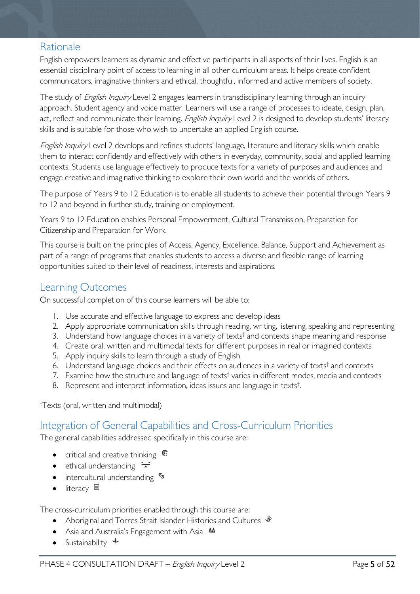# <span id="page-4-0"></span>Rationale

English empowers learners as dynamic and effective participants in all aspects of their lives. English is an essential disciplinary point of access to learning in all other curriculum areas. It helps create confident communicators, imaginative thinkers and ethical, thoughtful, informed and active members of society.

The study of *English Inquiry* Level 2 engages learners in transdisciplinary learning through an inquiry approach. Student agency and voice matter. Learners will use a range of processes to ideate, design, plan, act, reflect and communicate their learning. English Inquiry Level 2 is designed to develop students' literacy skills and is suitable for those who wish to undertake an applied English course.

English Inquiry Level 2 develops and refines students' language, literature and literacy skills which enable them to interact confidently and effectively with others in everyday, community, social and applied learning contexts. Students use language effectively to produce texts for a variety of purposes and audiences and engage creative and imaginative thinking to explore their own world and the worlds of others.

The purpose of Years 9 to 12 Education is to enable all students to achieve their potential through Years 9 to 12 and beyond in further study, training or employment.

Years 9 to 12 Education enables Personal Empowerment, Cultural Transmission, Preparation for Citizenship and Preparation for Work.

This course is built on the principles of Access, Agency, Excellence, Balance, Support and Achievement as part of a range of programs that enables students to access a diverse and flexible range of learning opportunities suited to their level of readiness, interests and aspirations.

# <span id="page-4-1"></span>Learning Outcomes

On successful completion of this course learners will be able to:

- 1. Use accurate and effective language to express and develop ideas
- 2. Apply appropriate communication skills through reading, writing, listening, speaking and representing
- 3. Understand how language choices in a variety of texts<sup>†</sup> and contexts shape meaning and response
- 4. Create oral, written and multimodal texts for different purposes in real or imagined contexts
- 5. Apply inquiry skills to learn through a study of English
- 6. Understand language choices and their effects on audiences in a variety of texts<sup>†</sup> and contexts
- 7. Examine how the structure and language of texts<sup>†</sup> varies in different modes, media and contexts
- 8. Represent and interpret information, ideas issues and language in texts† .

<span id="page-4-2"></span>† Texts (oral, written and multimodal)

### Integration of General Capabilities and Cross-Curriculum Priorities

The general capabilities addressed specifically in this course are:

- critical and creative thinking  $\mathbb{C}$
- ethical understanding  $\div$
- intercultural understanding •
- literacy  $\blacksquare$

The cross-curriculum priorities enabled through this course are:

- Aboriginal and Torres Strait Islander Histories and Cultures  $\mathscr W$
- Asia and Australia's Engagement with Asia **AA**
- Sustainability  $\triangleleft$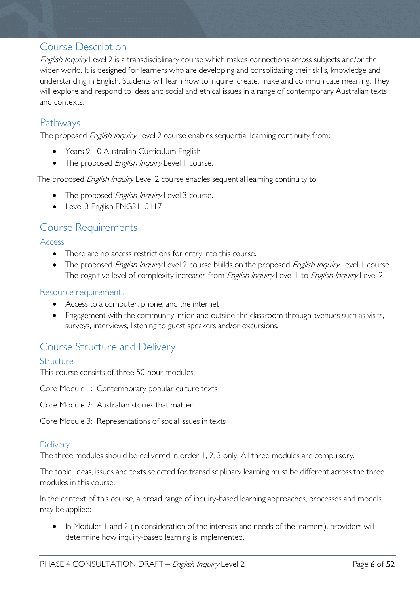# <span id="page-5-0"></span>Course Description

English Inquiry Level 2 is a transdisciplinary course which makes connections across subjects and/or the wider world. It is designed for learners who are developing and consolidating their skills, knowledge and understanding in English. Students will learn how to inquire, create, make and communicate meaning. They will explore and respond to ideas and social and ethical issues in a range of contemporary Australian texts and contexts.

# <span id="page-5-1"></span>**Pathways**

The proposed *English Inquiry* Level 2 course enables sequential learning continuity from:

- Years 9-10 Australian Curriculum English
- The proposed English Inquiry Level 1 course.

The proposed *English Inquiry* Level 2 course enables sequential learning continuity to:

- The proposed *English Inquiry* Level 3 course.
- Level 3 English ENG3115117

# <span id="page-5-2"></span>Course Requirements

<span id="page-5-3"></span>Access

- There are no access restrictions for entry into this course.
- The proposed English Inquiry Level 2 course builds on the proposed English Inquiry Level 1 course. The cognitive level of complexity increases from English Inquiry Level 1 to English Inquiry Level 2.

### <span id="page-5-4"></span>Resource requirements

- Access to a computer, phone, and the internet
- Engagement with the community inside and outside the classroom through avenues such as visits, surveys, interviews, listening to guest speakers and/or excursions.

# <span id="page-5-5"></span>Course Structure and Delivery

#### <span id="page-5-6"></span>**Structure**

This course consists of three 50-hour modules.

Core Module 1: Contemporary popular culture texts

Core Module 2: Australian stories that matter

Core Module 3: Representations of social issues in texts

### <span id="page-5-7"></span>**Delivery**

The three modules should be delivered in order 1, 2, 3 only. All three modules are compulsory.

The topic, ideas, issues and texts selected for transdisciplinary learning must be different across the three modules in this course.

In the context of this course, a broad range of inquiry-based learning approaches, processes and models may be applied:

• In Modules 1 and 2 (in consideration of the interests and needs of the learners), providers will determine how inquiry-based learning is implemented.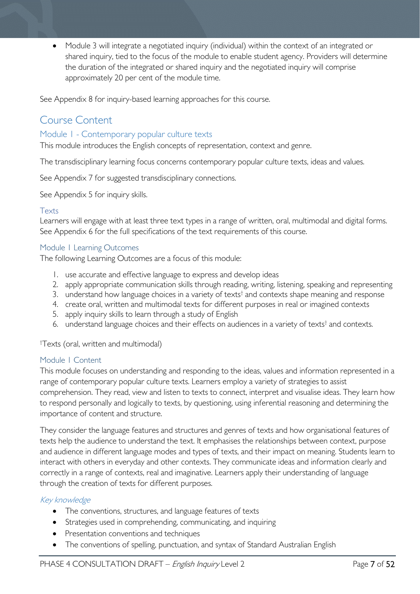• Module 3 will integrate a negotiated inquiry (individual) within the context of an integrated or shared inquiry, tied to the focus of the module to enable student agency. Providers will determine the duration of the integrated or shared inquiry and the negotiated inquiry will comprise approximately 20 per cent of the module time.

See Appendix 8 for inquiry-based learning approaches for this course.

# <span id="page-6-0"></span>Course Content

#### <span id="page-6-1"></span>Module 1 - Contemporary popular culture texts

This module introduces the English concepts of representation, context and genre.

The transdisciplinary learning focus concerns contemporary popular culture texts, ideas and values.

See Appendix 7 for suggested transdisciplinary connections.

See Appendix 5 for inquiry skills.

#### Texts

Learners will engage with at least three text types in a range of written, oral, multimodal and digital forms. See Appendix 6 for the full specifications of the text requirements of this course.

#### <span id="page-6-2"></span>Module 1 Learning Outcomes

The following Learning Outcomes are a focus of this module:

- 1. use accurate and effective language to express and develop ideas
- 2. apply appropriate communication skills through reading, writing, listening, speaking and representing
- 3. understand how language choices in a variety of texts<sup>†</sup> and contexts shape meaning and response
- 4. create oral, written and multimodal texts for different purposes in real or imagined contexts
- 5. apply inquiry skills to learn through a study of English
- 6. understand language choices and their effects on audiences in a variety of texts† and contexts.

† Texts (oral, written and multimodal)

#### <span id="page-6-3"></span>Module 1 Content

This module focuses on understanding and responding to the ideas, values and information represented in a range of contemporary popular culture texts. Learners employ a variety of strategies to assist comprehension. They read, view and listen to texts to connect, interpret and visualise ideas. They learn how to respond personally and logically to texts, by questioning, using inferential reasoning and determining the importance of content and structure.

They consider the language features and structures and genres of texts and how organisational features of texts help the audience to understand the text. It emphasises the relationships between context, purpose and audience in different language modes and types of texts, and their impact on meaning. Students learn to interact with others in everyday and other contexts. They communicate ideas and information clearly and correctly in a range of contexts, real and imaginative. Learners apply their understanding of language through the creation of texts for different purposes.

#### Key knowledge

- The conventions, structures, and language features of texts
- Strategies used in comprehending, communicating, and inquiring
- Presentation conventions and techniques
- The conventions of spelling, punctuation, and syntax of Standard Australian English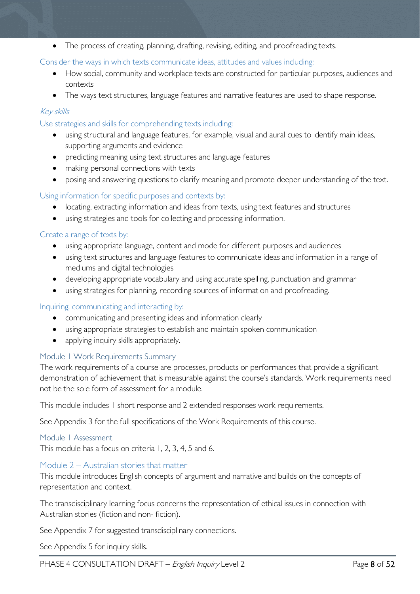• The process of creating, planning, drafting, revising, editing, and proofreading texts.

#### Consider the ways in which texts communicate ideas, attitudes and values including:

- How social, community and workplace texts are constructed for particular purposes, audiences and contexts
- The ways text structures, language features and narrative features are used to shape response.

### Key skills

#### Use strategies and skills for comprehending texts including:

- using structural and language features, for example, visual and aural cues to identify main ideas, supporting arguments and evidence
- predicting meaning using text structures and language features
- making personal connections with texts
- posing and answering questions to clarify meaning and promote deeper understanding of the text.

### Using information for specific purposes and contexts by:

- locating, extracting information and ideas from texts, using text features and structures
- using strategies and tools for collecting and processing information.

#### Create a range of texts by:

- using appropriate language, content and mode for different purposes and audiences
- using text structures and language features to communicate ideas and information in a range of mediums and digital technologies
- developing appropriate vocabulary and using accurate spelling, punctuation and grammar
- using strategies for planning, recording sources of information and proofreading.

#### Inquiring, communicating and interacting by:

- communicating and presenting ideas and information clearly
- using appropriate strategies to establish and maintain spoken communication
- applying inquiry skills appropriately.

#### <span id="page-7-0"></span>Module 1 Work Requirements Summary

The work requirements of a course are processes, products or performances that provide a significant demonstration of achievement that is measurable against the course's standards. Work requirements need not be the sole form of assessment for a module.

This module includes 1 short response and 2 extended responses work requirements.

See Appendix 3 for the full specifications of the Work Requirements of this course.

#### <span id="page-7-1"></span>Module 1 Assessment

This module has a focus on criteria 1, 2, 3, 4, 5 and 6.

#### <span id="page-7-2"></span>Module 2 – Australian stories that matter

This module introduces English concepts of argument and narrative and builds on the concepts of representation and context.

The transdisciplinary learning focus concerns the representation of ethical issues in connection with Australian stories (fiction and non- fiction).

See Appendix 7 for suggested transdisciplinary connections.

See Appendix 5 for inquiry skills.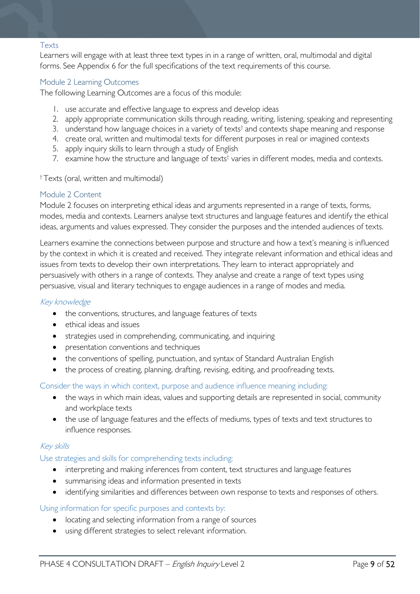#### Texts

Learners will engage with at least three text types in in a range of written, oral, multimodal and digital forms. See Appendix 6 for the full specifications of the text requirements of this course.

#### <span id="page-8-0"></span>Module 2 Learning Outcomes

The following Learning Outcomes are a focus of this module:

- 1. use accurate and effective language to express and develop ideas
- 2. apply appropriate communication skills through reading, writing, listening, speaking and representing
- 3. understand how language choices in a variety of texts<sup>†</sup> and contexts shape meaning and response
- 4. create oral, written and multimodal texts for different purposes in real or imagined contexts
- 5. apply inquiry skills to learn through a study of English
- 7. examine how the structure and language of texts<sup>†</sup> varies in different modes, media and contexts.

† Texts (oral, written and multimodal)

#### <span id="page-8-1"></span>Module 2 Content

Module 2 focuses on interpreting ethical ideas and arguments represented in a range of texts, forms, modes, media and contexts. Learners analyse text structures and language features and identify the ethical ideas, arguments and values expressed. They consider the purposes and the intended audiences of texts.

Learners examine the connections between purpose and structure and how a text's meaning is influenced by the context in which it is created and received. They integrate relevant information and ethical ideas and issues from texts to develop their own interpretations. They learn to interact appropriately and persuasively with others in a range of contexts. They analyse and create a range of text types using persuasive, visual and literary techniques to engage audiences in a range of modes and media.

#### Key knowledge

- the conventions, structures, and language features of texts
- ethical ideas and issues
- strategies used in comprehending, communicating, and inquiring
- presentation conventions and techniques
- the conventions of spelling, punctuation, and syntax of Standard Australian English
- the process of creating, planning, drafting, revising, editing, and proofreading texts.

Consider the ways in which context, purpose and audience influence meaning including:

- the ways in which main ideas, values and supporting details are represented in social, community and workplace texts
- the use of language features and the effects of mediums, types of texts and text structures to influence responses.

#### Key skills

#### Use strategies and skills for comprehending texts including:

- interpreting and making inferences from content, text structures and language features
- summarising ideas and information presented in texts
- identifying similarities and differences between own response to texts and responses of others.

#### Using information for specific purposes and contexts by:

- locating and selecting information from a range of sources
- using different strategies to select relevant information.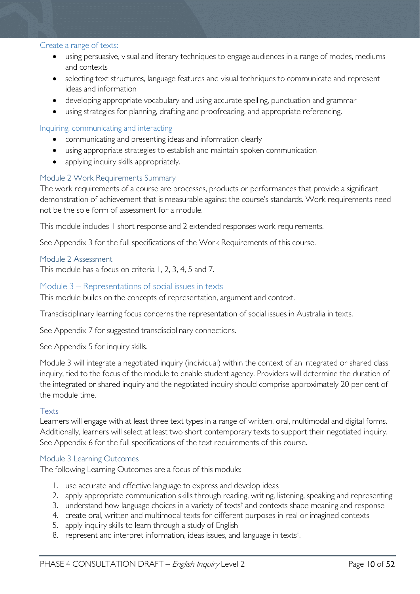#### Create a range of texts:

- using persuasive, visual and literary techniques to engage audiences in a range of modes, mediums and contexts
- selecting text structures, language features and visual techniques to communicate and represent ideas and information
- developing appropriate vocabulary and using accurate spelling, punctuation and grammar
- using strategies for planning, drafting and proofreading, and appropriate referencing.

#### Inquiring, communicating and interacting

- communicating and presenting ideas and information clearly
- using appropriate strategies to establish and maintain spoken communication
- applying inquiry skills appropriately.

#### <span id="page-9-0"></span>Module 2 Work Requirements Summary

The work requirements of a course are processes, products or performances that provide a significant demonstration of achievement that is measurable against the course's standards. Work requirements need not be the sole form of assessment for a module.

This module includes 1 short response and 2 extended responses work requirements.

See Appendix 3 for the full specifications of the Work Requirements of this course.

#### <span id="page-9-1"></span>Module 2 Assessment

This module has a focus on criteria 1, 2, 3, 4, 5 and 7.

#### <span id="page-9-2"></span>Module 3 – Representations of social issues in texts

This module builds on the concepts of representation, argument and context.

Transdisciplinary learning focus concerns the representation of social issues in Australia in texts.

See Appendix 7 for suggested transdisciplinary connections.

See Appendix 5 for inquiry skills.

Module 3 will integrate a negotiated inquiry (individual) within the context of an integrated or shared class inquiry, tied to the focus of the module to enable student agency. Providers will determine the duration of the integrated or shared inquiry and the negotiated inquiry should comprise approximately 20 per cent of the module time.

#### Texts

Learners will engage with at least three text types in a range of written, oral, multimodal and digital forms. Additionally, learners will select at least two short contemporary texts to support their negotiated inquiry. See Appendix 6 for the full specifications of the text requirements of this course.

#### <span id="page-9-3"></span>Module 3 Learning Outcomes

The following Learning Outcomes are a focus of this module:

- 1. use accurate and effective language to express and develop ideas
- 2. apply appropriate communication skills through reading, writing, listening, speaking and representing
- 3. understand how language choices in a variety of texts<sup>†</sup> and contexts shape meaning and response
- 4. create oral, written and multimodal texts for different purposes in real or imagined contexts
- 5. apply inquiry skills to learn through a study of English
- 8. represent and interpret information, ideas issues, and language in texts<sup>t</sup>. .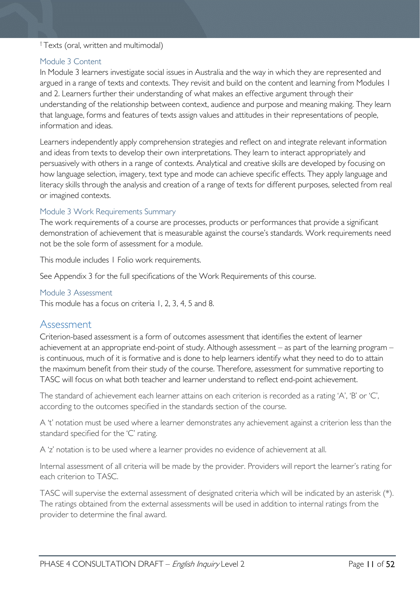#### † Texts (oral, written and multimodal)

#### <span id="page-10-0"></span>Module 3 Content

In Module 3 learners investigate social issues in Australia and the way in which they are represented and argued in a range of texts and contexts. They revisit and build on the content and learning from Modules 1 and 2. Learners further their understanding of what makes an effective argument through their understanding of the relationship between context, audience and purpose and meaning making. They learn that language, forms and features of texts assign values and attitudes in their representations of people, information and ideas.

Learners independently apply comprehension strategies and reflect on and integrate relevant information and ideas from texts to develop their own interpretations. They learn to interact appropriately and persuasively with others in a range of contexts. Analytical and creative skills are developed by focusing on how language selection, imagery, text type and mode can achieve specific effects. They apply language and literacy skills through the analysis and creation of a range of texts for different purposes, selected from real or imagined contexts.

#### <span id="page-10-1"></span>Module 3 Work Requirements Summary

The work requirements of a course are processes, products or performances that provide a significant demonstration of achievement that is measurable against the course's standards. Work requirements need not be the sole form of assessment for a module.

This module includes 1 Folio work requirements.

See Appendix 3 for the full specifications of the Work Requirements of this course.

#### <span id="page-10-2"></span>Module 3 Assessment

This module has a focus on criteria 1, 2, 3, 4, 5 and 8.

### <span id="page-10-3"></span>Assessment

Criterion-based assessment is a form of outcomes assessment that identifies the extent of learner achievement at an appropriate end-point of study. Although assessment – as part of the learning program – is continuous, much of it is formative and is done to help learners identify what they need to do to attain the maximum benefit from their study of the course. Therefore, assessment for summative reporting to TASC will focus on what both teacher and learner understand to reflect end-point achievement.

The standard of achievement each learner attains on each criterion is recorded as a rating 'A', 'B' or 'C', according to the outcomes specified in the standards section of the course.

A 't' notation must be used where a learner demonstrates any achievement against a criterion less than the standard specified for the 'C' rating.

A 'z' notation is to be used where a learner provides no evidence of achievement at all.

Internal assessment of all criteria will be made by the provider. Providers will report the learner's rating for each criterion to TASC.

TASC will supervise the external assessment of designated criteria which will be indicated by an asterisk (\*). The ratings obtained from the external assessments will be used in addition to internal ratings from the provider to determine the final award.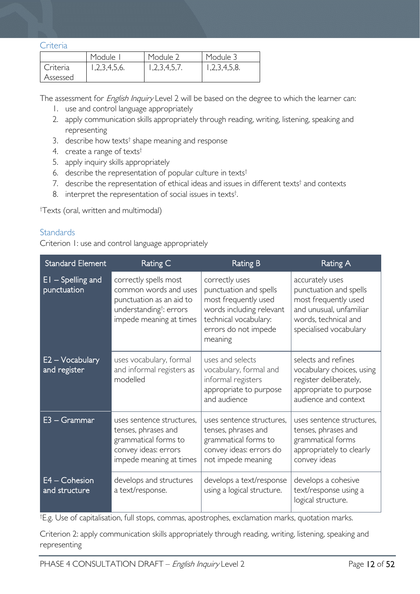#### <span id="page-11-0"></span>**Criteria**

|          | Module <sup>1</sup> | Module 2     | Module 3     |
|----------|---------------------|--------------|--------------|
| Criteria | 1,2,3,4,5,6.        | 1,2,3,4,5,7. | 1,2,3,4,5,8. |
| Assessed |                     |              |              |

The assessment for *English Inquiry* Level 2 will be based on the degree to which the learner can:

- 1. use and control language appropriately
- 2. apply communication skills appropriately through reading, writing, listening, speaking and representing
- 3. describe how texts<sup>†</sup> shape meaning and response
- 4. create a range of texts†
- 5. apply inquiry skills appropriately
- 6. describe the representation of popular culture in texts†
- 7. describe the representation of ethical ideas and issues in different texts<sup>†</sup> and contexts
- 8. interpret the representation of social issues in texts<sup>†</sup>. .

† Texts (oral, written and multimodal)

### <span id="page-11-1"></span>**Standards**

Criterion 1: use and control language appropriately

| <b>Standard Element</b>            | Rating C                                                                                                                                     | <b>Rating B</b>                                                                                                                                          | <b>Rating A</b>                                                                                                                                |  |
|------------------------------------|----------------------------------------------------------------------------------------------------------------------------------------------|----------------------------------------------------------------------------------------------------------------------------------------------------------|------------------------------------------------------------------------------------------------------------------------------------------------|--|
| $EI - Spelling$ and<br>punctuation | correctly spells most<br>common words and uses<br>punctuation as an aid to<br>understanding <sup>t</sup> : errors<br>impede meaning at times | correctly uses<br>punctuation and spells<br>most frequently used<br>words including relevant<br>technical vocabulary:<br>errors do not impede<br>meaning | accurately uses<br>punctuation and spells<br>most frequently used<br>and unusual, unfamiliar<br>words, technical and<br>specialised vocabulary |  |
| E2 – Vocabulary<br>and register    | uses vocabulary, formal<br>and informal registers as<br>modelled                                                                             | uses and selects<br>vocabulary, formal and<br>informal registers<br>appropriate to purpose<br>and audience                                               | selects and refines<br>vocabulary choices, using<br>register deliberately,<br>appropriate to purpose<br>audience and context                   |  |
| $E3 - Grammar$                     | uses sentence structures,<br>tenses, phrases and<br>grammatical forms to<br>convey ideas: errors<br>impede meaning at times                  | uses sentence structures.<br>tenses, phrases and<br>grammatical forms to<br>convey ideas: errors do<br>not impede meaning                                | uses sentence structures,<br>tenses, phrases and<br>grammatical forms<br>appropriately to clearly<br>convey ideas                              |  |
| E4 - Cohesion<br>and structure     | develops and structures<br>a text/response.                                                                                                  | develops a text/response<br>using a logical structure.                                                                                                   | develops a cohesive<br>text/response using a<br>logical structure.                                                                             |  |

† E.g. Use of capitalisation, full stops, commas, apostrophes, exclamation marks, quotation marks.

Criterion 2: apply communication skills appropriately through reading, writing, listening, speaking and representing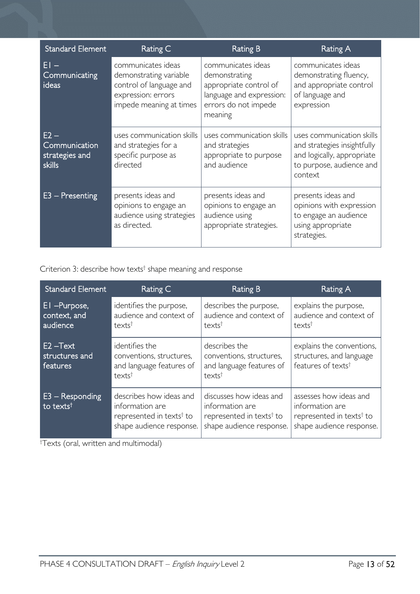| <b>Standard Element</b>                             | Rating C                                                                                                                 | Rating B                                                                                                                     | Rating A                                                                                                                      |  |
|-----------------------------------------------------|--------------------------------------------------------------------------------------------------------------------------|------------------------------------------------------------------------------------------------------------------------------|-------------------------------------------------------------------------------------------------------------------------------|--|
| EI –<br>Communicating<br>ideas                      | communicates ideas<br>demonstrating variable<br>control of language and<br>expression: errors<br>impede meaning at times | communicates ideas<br>demonstrating<br>appropriate control of<br>language and expression:<br>errors do not impede<br>meaning | communicates ideas<br>demonstrating fluency,<br>and appropriate control<br>of language and<br>expression                      |  |
| $E2 -$<br>Communication<br>strategies and<br>skills | uses communication skills<br>and strategies for a<br>specific purpose as<br>directed                                     | uses communication skills<br>and strategies<br>appropriate to purpose<br>and audience                                        | uses communication skills<br>and strategies insightfully<br>and logically, appropriate<br>to purpose, audience and<br>context |  |
| $E3 -$ Presenting                                   | presents ideas and<br>opinions to engage an<br>audience using strategies<br>as directed.                                 | presents ideas and<br>opinions to engage an<br>audience using<br>appropriate strategies.                                     | presents ideas and<br>opinions with expression<br>to engage an audience<br>using appropriate<br>strategies.                   |  |

Criterion 3: describe how texts† shape meaning and response

| <b>Standard Element</b>                    | Rating C                                                                                                       | Rating B                                                                                                       | Rating A                                                                                                      |  |
|--------------------------------------------|----------------------------------------------------------------------------------------------------------------|----------------------------------------------------------------------------------------------------------------|---------------------------------------------------------------------------------------------------------------|--|
| El -Purpose,<br>context, and<br>audience   | identifies the purpose,<br>audience and context of<br>texts <sup>†</sup>                                       | describes the purpose,<br>audience and context of<br>texts <sup>t</sup>                                        | explains the purpose,<br>audience and context of<br>text                                                      |  |
| E2-Text<br>structures and<br>features      | identifies the<br>conventions, structures,<br>and language features of<br>texts <sup>t</sup>                   | describes the<br>conventions, structures,<br>and language features of<br>texts <sup>t</sup>                    | explains the conventions,<br>structures, and language<br>features of texts <sup>†</sup>                       |  |
| $E3 -$ Responding<br>to texts <sup>t</sup> | describes how ideas and<br>information are<br>represented in texts <sup>†</sup> to<br>shape audience response. | discusses how ideas and<br>information are<br>represented in texts <sup>†</sup> to<br>shape audience response. | assesses how ideas and<br>information are<br>represented in texts <sup>†</sup> to<br>shape audience response. |  |

† Texts (oral, written and multimodal)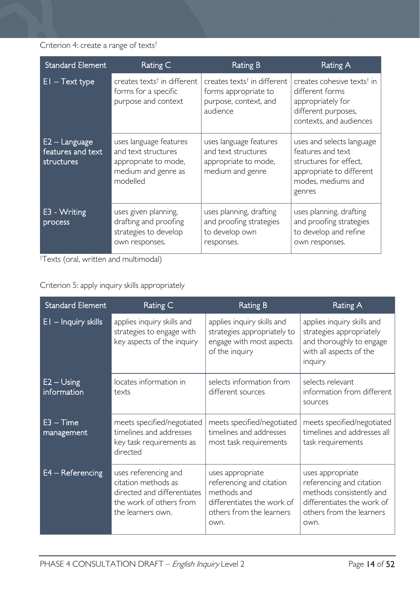### Criterion 4: create a range of texts<sup>†</sup>

| <b>Standard Element</b>                            | Rating C                                                                                                 | Rating B                                                                                                                | Rating A<br>creates cohesive texts <sup>†</sup> in<br>different forms<br>appropriately for<br>different purposes,<br>contexts, and audiences |  |
|----------------------------------------------------|----------------------------------------------------------------------------------------------------------|-------------------------------------------------------------------------------------------------------------------------|----------------------------------------------------------------------------------------------------------------------------------------------|--|
| $E1 - Text type$                                   | creates texts <sup>†</sup> in different<br>forms for a specific<br>purpose and context                   | creates texts <sup><math>\dagger</math></sup> in different<br>forms appropriate to<br>purpose, context, and<br>audience |                                                                                                                                              |  |
| $E2 -$ Language<br>features and text<br>structures | uses language features<br>and text structures<br>appropriate to mode,<br>medium and genre as<br>modelled | uses language features<br>and text structures<br>appropriate to mode,<br>medium and genre                               | uses and selects language<br>features and text<br>structures for effect,<br>appropriate to different<br>modes, mediums and<br>genres         |  |
| E3 - Writing<br>process                            | uses given planning,<br>drafting and proofing<br>strategies to develop<br>own responses.                 | uses planning, drafting<br>and proofing strategies<br>to develop own<br>responses.                                      | uses planning, drafting<br>and proofing strategies<br>to develop and refine<br>own responses.                                                |  |

† Texts (oral, written and multimodal)

Criterion 5: apply inquiry skills appropriately

| <b>Standard Element</b>     | Rating C                                                                                                                   | <b>Rating B</b>                                                                                                               | <b>Rating A</b>                                                                                                                            |  |
|-----------------------------|----------------------------------------------------------------------------------------------------------------------------|-------------------------------------------------------------------------------------------------------------------------------|--------------------------------------------------------------------------------------------------------------------------------------------|--|
| El - Inquiry skills         | applies inquiry skills and<br>strategies to engage with<br>key aspects of the inquiry                                      | applies inquiry skills and<br>strategies appropriately to<br>engage with most aspects<br>of the inquiry                       | applies inquiry skills and<br>strategies appropriately<br>and thoroughly to engage<br>with all aspects of the<br>inquiry                   |  |
| $E2 - Using$<br>information | locates information in<br>texts                                                                                            | selects information from<br>different sources                                                                                 | selects relevant<br>information from different<br>sources                                                                                  |  |
| $E3 - Time$<br>management   | meets specified/negotiated<br>timelines and addresses<br>key task requirements as<br>directed                              | meets specified/negotiated<br>timelines and addresses<br>most task requirements                                               | meets specified/negotiated<br>timelines and addresses all<br>task requirements                                                             |  |
| $E4 - Refercencing$         | uses referencing and<br>citation methods as<br>directed and differentiates<br>the work of others from<br>the learners own. | uses appropriate<br>referencing and citation<br>methods and<br>differentiates the work of<br>others from the learners<br>own. | uses appropriate<br>referencing and citation<br>methods consistently and<br>differentiates the work of<br>others from the learners<br>own. |  |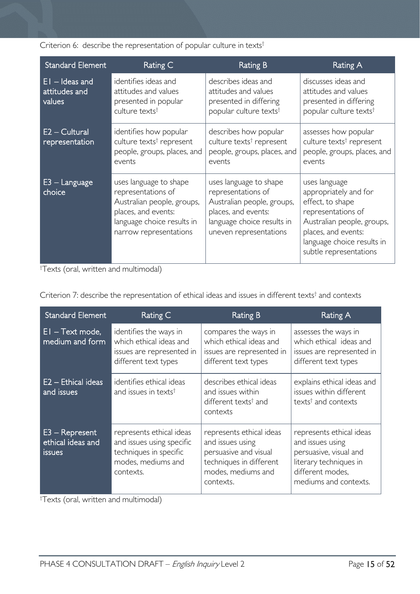Criterion 6: describe the representation of popular culture in texts<sup>†</sup>

| <b>Standard Element</b>                     | Rating C                                                                                                                                                  | <b>Rating B</b>                                                                                                                                           | Rating A                                                                                                                                                                                      |  |
|---------------------------------------------|-----------------------------------------------------------------------------------------------------------------------------------------------------------|-----------------------------------------------------------------------------------------------------------------------------------------------------------|-----------------------------------------------------------------------------------------------------------------------------------------------------------------------------------------------|--|
| $EI$ – Ideas and<br>attitudes and<br>values | identifies ideas and<br>attitudes and values<br>presented in popular<br>culture texts <sup>†</sup>                                                        | describes ideas and<br>attitudes and values<br>presented in differing<br>popular culture texts <sup>t</sup>                                               | discusses ideas and<br>attitudes and values<br>presented in differing<br>popular culture texts <sup>t</sup>                                                                                   |  |
| $E2 - Cultural$<br>representation           | identifies how popular<br>culture texts <sup>†</sup> represent<br>people, groups, places, and<br>events                                                   | describes how popular<br>culture texts <sup>†</sup> represent<br>people, groups, places, and<br>events                                                    | assesses how popular<br>culture texts <sup>†</sup> represent<br>people, groups, places, and<br>events                                                                                         |  |
| $E3 -$ Language<br>choice                   | uses language to shape<br>representations of<br>Australian people, groups,<br>places, and events:<br>language choice results in<br>narrow representations | uses language to shape<br>representations of<br>Australian people, groups,<br>places, and events:<br>language choice results in<br>uneven representations | uses language<br>appropriately and for<br>effect, to shape<br>representations of<br>Australian people, groups,<br>places, and events:<br>language choice results in<br>subtle representations |  |

† Texts (oral, written and multimodal)

Criterion 7: describe the representation of ethical ideas and issues in different texts† and contexts

| <b>Standard Element</b>                                | Rating C                                                                                                           | Rating B                                                                                                                            | Rating A                                                                                                                                      |  |
|--------------------------------------------------------|--------------------------------------------------------------------------------------------------------------------|-------------------------------------------------------------------------------------------------------------------------------------|-----------------------------------------------------------------------------------------------------------------------------------------------|--|
| $El - Text mode,$<br>medium and form                   | identifies the ways in<br>which ethical ideas and<br>issues are represented in<br>different text types             | compares the ways in<br>which ethical ideas and<br>issues are represented in<br>different text types                                | assesses the ways in<br>which ethical ideas and<br>issues are represented in<br>different text types                                          |  |
| $E2 - Ethical ideas$<br>and issues                     | identifies ethical ideas<br>and issues in texts <sup>†</sup>                                                       | describes ethical ideas<br>and issues within<br>different texts <sup>†</sup> and<br>contexts                                        | explains ethical ideas and<br>issues within different<br>texts <sup>†</sup> and contexts                                                      |  |
| $E3 - Represent$<br>ethical ideas and<br><i>issues</i> | represents ethical ideas<br>and issues using specific<br>techniques in specific<br>modes, mediums and<br>contexts. | represents ethical ideas<br>and issues using<br>persuasive and visual<br>techniques in different<br>modes, mediums and<br>contexts. | represents ethical ideas<br>and issues using<br>persuasive, visual and<br>literary techniques in<br>different modes.<br>mediums and contexts. |  |

† Texts (oral, written and multimodal)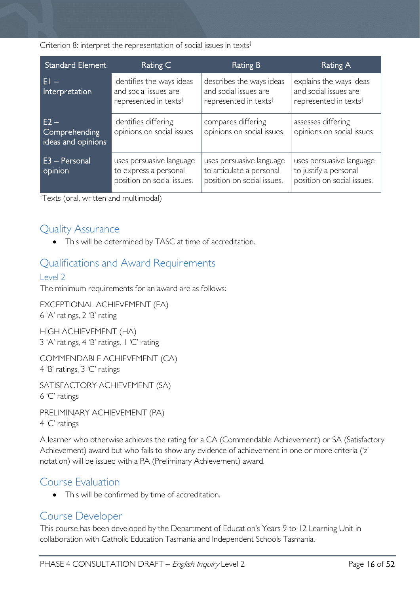Criterion 8: interpret the representation of social issues in texts†

| <b>Standard Element</b>                       | Rating C                                                                                | <b>Rating B</b>                                                                        | Rating A                                                                              |  |
|-----------------------------------------------|-----------------------------------------------------------------------------------------|----------------------------------------------------------------------------------------|---------------------------------------------------------------------------------------|--|
| FI –<br>Interpretation                        | identifies the ways ideas<br>and social issues are<br>represented in texts <sup>t</sup> | describes the ways ideas<br>and social issues are<br>represented in texts <sup>t</sup> | explains the ways ideas<br>and social issues are<br>represented in texts <sup>†</sup> |  |
| $E2 -$<br>Comprehending<br>ideas and opinions | identifies differing<br>opinions on social issues                                       | compares differing<br>opinions on social issues                                        | assesses differing<br>opinions on social issues                                       |  |
| E3 - Personal<br>opinion                      | uses persuasive language<br>to express a personal<br>position on social issues.         | uses persuasive language<br>to articulate a personal<br>position on social issues.     | uses persuasive language<br>to justify a personal<br>position on social issues.       |  |

† Texts (oral, written and multimodal)

# <span id="page-15-0"></span>Quality Assurance

• This will be determined by TASC at time of accreditation.

# <span id="page-15-1"></span>Qualifications and Award Requirements

### <span id="page-15-2"></span>Level 2

The minimum requirements for an award are as follows:

EXCEPTIONAL ACHIEVEMENT (EA) 6 'A' ratings, 2 'B' rating

HIGH ACHIEVEMENT (HA) 3 'A' ratings, 4 'B' ratings, 1 'C' rating

COMMENDABLE ACHIEVEMENT (CA) 4 'B' ratings, 3 'C' ratings

SATISFACTORY ACHIEVEMENT (SA)

6 'C' ratings

PRELIMINARY ACHIEVEMENT (PA) 4 'C' ratings

A learner who otherwise achieves the rating for a CA (Commendable Achievement) or SA (Satisfactory Achievement) award but who fails to show any evidence of achievement in one or more criteria ('z' notation) will be issued with a PA (Preliminary Achievement) award.

### <span id="page-15-3"></span>Course Evaluation

• This will be confirmed by time of accreditation.

# <span id="page-15-4"></span>Course Developer

This course has been developed by the Department of Education's Years 9 to 12 Learning Unit in collaboration with Catholic Education Tasmania and Independent Schools Tasmania.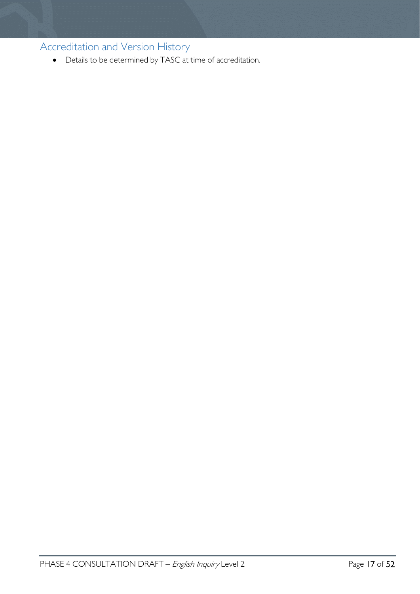<span id="page-16-0"></span>Accreditation and Version History

• Details to be determined by TASC at time of accreditation.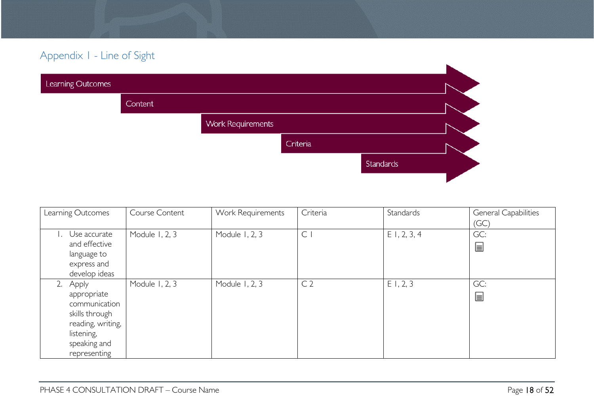# Appendix 1 - Line of Sight

| Learning Outcomes |         |                          |          |           |  |
|-------------------|---------|--------------------------|----------|-----------|--|
|                   | Content |                          |          |           |  |
|                   |         | <b>Work Requirements</b> |          |           |  |
|                   |         |                          | Criteria |           |  |
|                   |         |                          |          | Standards |  |
|                   |         |                          |          |           |  |

<span id="page-17-0"></span>

| Learning Outcomes                                                                                                          | Course Content | Work Requirements | Criteria       | Standards      | General Capabilities |
|----------------------------------------------------------------------------------------------------------------------------|----------------|-------------------|----------------|----------------|----------------------|
|                                                                                                                            |                |                   |                |                | (GC)                 |
| Use accurate<br>and effective<br>language to<br>express and<br>develop ideas                                               | Module 1, 2, 3 | Module 1, 2, 3    | $\mathsf{C}$   | $E$ 1, 2, 3, 4 | GC:<br>冒             |
| Apply<br>appropriate<br>communication<br>skills through<br>reading, writing,<br>listening,<br>speaking and<br>representing | Module 1, 2, 3 | Module 1, 2, 3    | C <sub>2</sub> | E1, 2, 3       | GC:<br>冒             |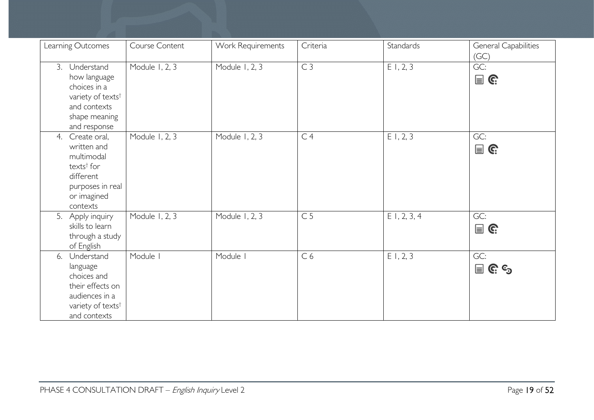| Learning Outcomes                                                                                                                     | Course Content | Work Requirements | Criteria       | Standards      | <b>General Capabilities</b><br>(GC) |
|---------------------------------------------------------------------------------------------------------------------------------------|----------------|-------------------|----------------|----------------|-------------------------------------|
| 3. Understand<br>how language<br>choices in a<br>variety of texts <sup>t</sup><br>and contexts<br>shape meaning<br>and response       | Module 1, 2, 3 | Module 1, 2, 3    | C <sub>3</sub> | E1, 2, 3       | GC:<br>$\mathbf{r}$                 |
| Create oral,<br>4.<br>written and<br>multimodal<br>texts <sup>†</sup> for<br>different<br>purposes in real<br>or imagined<br>contexts | Module 1, 2, 3 | Module 1, 2, 3    | C <sub>4</sub> | E1, 2, 3       | GC:<br>$\mathbf{r}$                 |
| 5. Apply inquiry<br>skills to learn<br>through a study<br>of English                                                                  | Module 1, 2, 3 | Module 1, 2, 3    | C <sub>5</sub> | $E$ 1, 2, 3, 4 | GC:<br>$\mathbf{r}$                 |
| Understand<br>6.<br>language<br>choices and<br>their effects on<br>audiences in a<br>variety of texts <sup>t</sup><br>and contexts    | Module I       | Module I          | C <sub>6</sub> | E1, 2, 3       | GC:<br>$\mathbf{r} \in \mathbb{C}$  |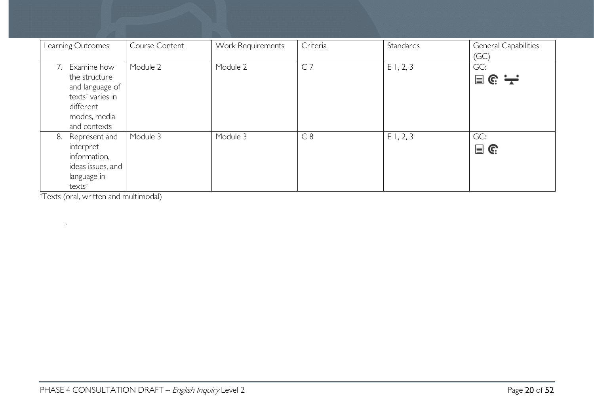| Learning Outcomes                                                                                                                  | Course Content | Work Requirements | Criteria       | Standards | General Capabilities<br>(GC) |
|------------------------------------------------------------------------------------------------------------------------------------|----------------|-------------------|----------------|-----------|------------------------------|
| Examine how<br>7.<br>the structure<br>and language of<br>texts <sup>†</sup> varies in<br>different<br>modes, media<br>and contexts | Module 2       | Module 2          | C <sub>7</sub> | E1, 2, 3  | GC:<br>■ ૯: 一                |
| Represent and<br>8.<br>interpret<br>information,<br>ideas issues, and<br>language in<br>texts <sup>t</sup>                         | Module 3       | Module 3          | C8             | E1, 2, 3  | GC:<br>$\blacksquare$ G      |

† Texts (oral, written and multimodal)

.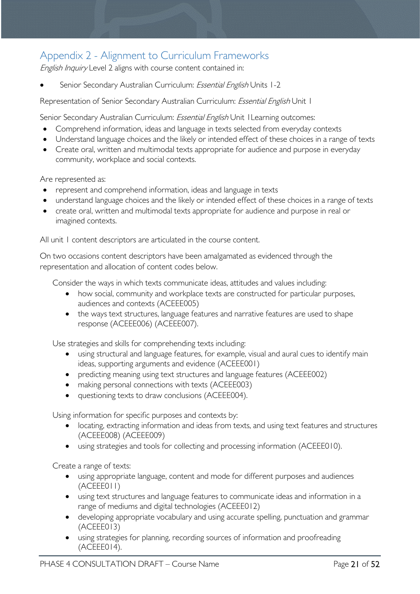# <span id="page-20-0"></span>Appendix 2 - Alignment to Curriculum Frameworks

English Inquiry Level 2 aligns with course content contained in:

Senior Secondary Australian Curriculum: Essential English Units 1-2

Representation of Senior Secondary Australian Curriculum: *Essential English* Unit 1

Senior Secondary Australian Curriculum: *Essential English* Unit I Learning outcomes:

- Comprehend information, ideas and language in texts selected from everyday contexts
- Understand language choices and the likely or intended effect of these choices in a range of texts
- Create oral, written and multimodal texts appropriate for audience and purpose in everyday community, workplace and social contexts.

Are represented as:

- represent and comprehend information, ideas and language in texts
- understand language choices and the likely or intended effect of these choices in a range of texts
- create oral, written and multimodal texts appropriate for audience and purpose in real or imagined contexts.

All unit 1 content descriptors are articulated in the course content.

On two occasions content descriptors have been amalgamated as evidenced through the representation and allocation of content codes below.

Consider the ways in which texts communicate ideas, attitudes and values including:

- how social, community and workplace texts are constructed for particular purposes, audiences and contexts (ACEEE005)
- the ways text structures, language features and narrative features are used to shape response (ACEEE006) (ACEEE007).

Use strategies and skills for comprehending texts including:

- using structural and language features, for example, visual and aural cues to identify main ideas, supporting arguments and evidence (ACEEE001)
- predicting meaning using text structures and language features (ACEEE002)
- making personal connections with texts (ACEEE003)
- questioning texts to draw conclusions (ACEEE004).

Using information for specific purposes and contexts by:

- locating, extracting information and ideas from texts, and using text features and structures (ACEEE008) (ACEEE009)
- using strategies and tools for collecting and processing information (ACEEE010).

Create a range of texts:

- using appropriate language, content and mode for different purposes and audiences (ACEEE011)
- using text structures and language features to communicate ideas and information in a range of mediums and digital technologies (ACEEE012)
- developing appropriate vocabulary and using accurate spelling, punctuation and grammar (ACEEE013)
- using strategies for planning, recording sources of information and proofreading (ACEEE014).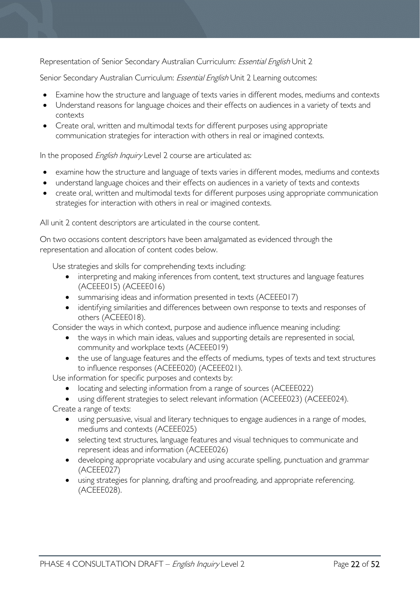Representation of Senior Secondary Australian Curriculum: Essential English Unit 2

Senior Secondary Australian Curriculum: *Essential English* Unit 2 Learning outcomes:

- Examine how the structure and language of texts varies in different modes, mediums and contexts
- Understand reasons for language choices and their effects on audiences in a variety of texts and contexts
- Create oral, written and multimodal texts for different purposes using appropriate communication strategies for interaction with others in real or imagined contexts.

In the proposed English Inquiry Level 2 course are articulated as:

- examine how the structure and language of texts varies in different modes, mediums and contexts
- understand language choices and their effects on audiences in a variety of texts and contexts
- create oral, written and multimodal texts for different purposes using appropriate communication strategies for interaction with others in real or imagined contexts.

All unit 2 content descriptors are articulated in the course content.

On two occasions content descriptors have been amalgamated as evidenced through the representation and allocation of content codes below.

Use strategies and skills for comprehending texts including:

- interpreting and making inferences from content, text structures and language features (ACEEE015) (ACEEE016)
- summarising ideas and information presented in texts (ACEEE017)
- identifying similarities and differences between own response to texts and responses of others (ACEEE018).

Consider the ways in which context, purpose and audience influence meaning including:

- the ways in which main ideas, values and supporting details are represented in social, community and workplace texts (ACEEE019)
- the use of language features and the effects of mediums, types of texts and text structures to influence responses (ACEEE020) (ACEEE021).

Use information for specific purposes and contexts by:

- locating and selecting information from a range of sources (ACEEE022)
- using different strategies to select relevant information (ACEEE023) (ACEEE024).

Create a range of texts:

- using persuasive, visual and literary techniques to engage audiences in a range of modes, mediums and contexts (ACEEE025)
- selecting text structures, language features and visual techniques to communicate and represent ideas and information (ACEEE026)
- developing appropriate vocabulary and using accurate spelling, punctuation and grammar (ACEEE027)
- using strategies for planning, drafting and proofreading, and appropriate referencing. (ACEEE028).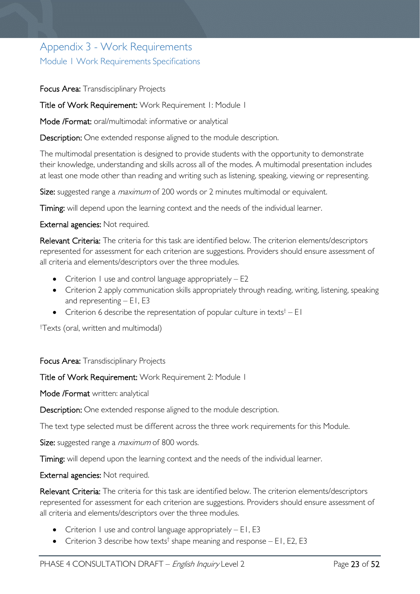# <span id="page-22-1"></span><span id="page-22-0"></span>Appendix 3 - Work Requirements Module 1 Work Requirements Specifications

Focus Area: Transdisciplinary Projects

Title of Work Requirement: Work Requirement 1: Module 1

Mode /Format: oral/multimodal: informative or analytical

Description: One extended response aligned to the module description.

The multimodal presentation is designed to provide students with the opportunity to demonstrate their knowledge, understanding and skills across all of the modes. A multimodal presentation includes at least one mode other than reading and writing such as listening, speaking, viewing or representing.

Size: suggested range a *maximum* of 200 words or 2 minutes multimodal or equivalent.

Timing: will depend upon the learning context and the needs of the individual learner.

External agencies: Not required.

Relevant Criteria: The criteria for this task are identified below. The criterion elements/descriptors represented for assessment for each criterion are suggestions. Providers should ensure assessment of all criteria and elements/descriptors over the three modules.

- Criterion 1 use and control language appropriately  $-$  E2
- Criterion 2 apply communication skills appropriately through reading, writing, listening, speaking and representing  $-$  E1, E3
- Criterion 6 describe the representation of popular culture in texts<sup>†</sup> E1

† Texts (oral, written and multimodal)

Focus Area: Transdisciplinary Projects

Title of Work Requirement: Work Requirement 2: Module 1

Mode /Format written: analytical

Description: One extended response aligned to the module description.

The text type selected must be different across the three work requirements for this Module.

Size: suggested range a *maximum* of 800 words.

Timing: will depend upon the learning context and the needs of the individual learner.

External agencies: Not required.

Relevant Criteria: The criteria for this task are identified below. The criterion elements/descriptors represented for assessment for each criterion are suggestions. Providers should ensure assessment of all criteria and elements/descriptors over the three modules.

- Criterion 1 use and control language appropriately  $E1$ , E3
- Criterion 3 describe how texts<sup>†</sup> shape meaning and response E1, E2, E3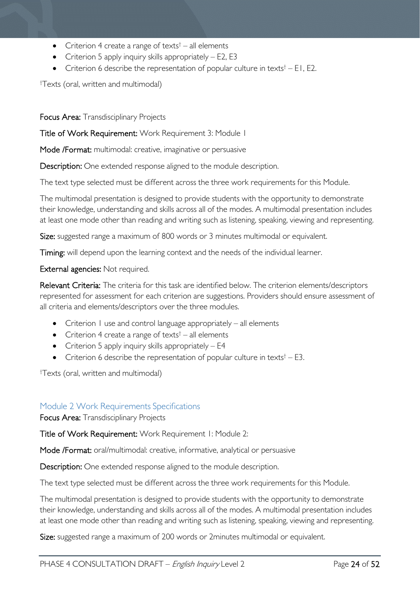- Criterion 4 create a range of texts<sup> $\dagger$ </sup> all elements
- Criterion 5 apply inquiry skills appropriately E2, E3
- Criterion 6 describe the representation of popular culture in texts<sup> $\dagger$ </sup> E1, E2.

† Texts (oral, written and multimodal)

Focus Area: Transdisciplinary Projects

Title of Work Requirement: Work Requirement 3: Module 1

Mode /Format: multimodal: creative, imaginative or persuasive

Description: One extended response aligned to the module description.

The text type selected must be different across the three work requirements for this Module.

The multimodal presentation is designed to provide students with the opportunity to demonstrate their knowledge, understanding and skills across all of the modes. A multimodal presentation includes at least one mode other than reading and writing such as listening, speaking, viewing and representing.

Size: suggested range a maximum of 800 words or 3 minutes multimodal or equivalent.

Timing: will depend upon the learning context and the needs of the individual learner.

External agencies: Not required.

Relevant Criteria: The criteria for this task are identified below. The criterion elements/descriptors represented for assessment for each criterion are suggestions. Providers should ensure assessment of all criteria and elements/descriptors over the three modules.

- Criterion  $\overline{1}$  use and control language appropriately  $-$  all elements
- Criterion 4 create a range of texts<sup> $\dagger$ </sup> all elements
- Criterion 5 apply inquiry skills appropriately  $-$  E4
- Criterion 6 describe the representation of popular culture in texts<sup> $\dagger$ </sup> E3.

† Texts (oral, written and multimodal)

#### <span id="page-23-0"></span>Module 2 Work Requirements Specifications

Focus Area: Transdisciplinary Projects

Title of Work Requirement: Work Requirement 1: Module 2:

Mode /Format: oral/multimodal: creative, informative, analytical or persuasive

Description: One extended response aligned to the module description.

The text type selected must be different across the three work requirements for this Module.

The multimodal presentation is designed to provide students with the opportunity to demonstrate their knowledge, understanding and skills across all of the modes. A multimodal presentation includes at least one mode other than reading and writing such as listening, speaking, viewing and representing.

Size: suggested range a maximum of 200 words or 2minutes multimodal or equivalent.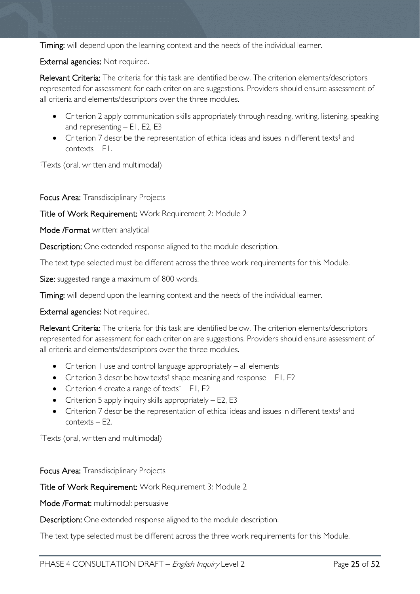Timing: will depend upon the learning context and the needs of the individual learner.

External agencies: Not required.

Relevant Criteria: The criteria for this task are identified below. The criterion elements/descriptors represented for assessment for each criterion are suggestions. Providers should ensure assessment of all criteria and elements/descriptors over the three modules.

- Criterion 2 apply communication skills appropriately through reading, writing, listening, speaking and representing  $-$  E1, E2, E3
- Criterion 7 describe the representation of ethical ideas and issues in different texts<sup>†</sup> and contexts – E1.

† Texts (oral, written and multimodal)

Focus Area: Transdisciplinary Projects

Title of Work Requirement: Work Requirement 2: Module 2

Mode /Format written: analytical

Description: One extended response aligned to the module description.

The text type selected must be different across the three work requirements for this Module.

Size: suggested range a maximum of 800 words.

Timing: will depend upon the learning context and the needs of the individual learner.

External agencies: Not required.

Relevant Criteria: The criteria for this task are identified below. The criterion elements/descriptors represented for assessment for each criterion are suggestions. Providers should ensure assessment of all criteria and elements/descriptors over the three modules.

- Criterion 1 use and control language appropriately all elements
- Criterion 3 describe how texts<sup>†</sup> shape meaning and response  $-$  E1, E2
- Criterion 4 create a range of texts<sup> $\dagger$ </sup> E1, E2
- Criterion 5 apply inquiry skills appropriately E2, E3
- Criterion 7 describe the representation of ethical ideas and issues in different texts<sup>†</sup> and contexts – E2.

† Texts (oral, written and multimodal)

Focus Area: Transdisciplinary Projects

Title of Work Requirement: Work Requirement 3: Module 2

Mode /Format: multimodal: persuasive

Description: One extended response aligned to the module description.

The text type selected must be different across the three work requirements for this Module.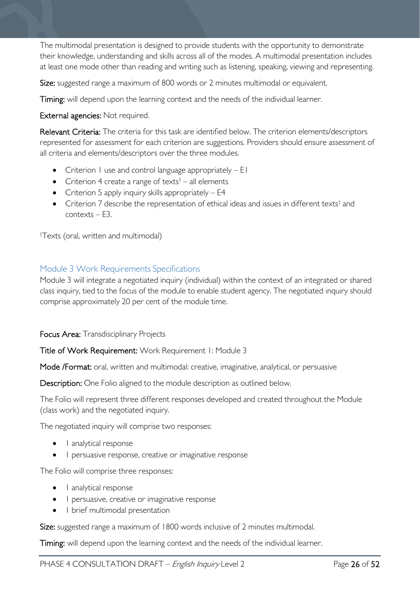The multimodal presentation is designed to provide students with the opportunity to demonstrate their knowledge, understanding and skills across all of the modes. A multimodal presentation includes at least one mode other than reading and writing such as listening, speaking, viewing and representing.

Size: suggested range a maximum of 800 words or 2 minutes multimodal or equivalent.

Timing: will depend upon the learning context and the needs of the individual learner.

External agencies: Not required.

Relevant Criteria: The criteria for this task are identified below. The criterion elements/descriptors represented for assessment for each criterion are suggestions. Providers should ensure assessment of all criteria and elements/descriptors over the three modules.

- Criterion 1 use and control language appropriately E1
- Criterion 4 create a range of texts<sup> $\dagger$ </sup> all elements
- Criterion 5 apply inquiry skills appropriately E4
- Criterion 7 describe the representation of ethical ideas and issues in different texts<sup>†</sup> and contexts – E3.

† Texts (oral, written and multimodal)

### <span id="page-25-0"></span>Module 3 Work Requirements Specifications

Module 3 will integrate a negotiated inquiry (individual) within the context of an integrated or shared class inquiry, tied to the focus of the module to enable student agency. The negotiated inquiry should comprise approximately 20 per cent of the module time.

Focus Area: Transdisciplinary Projects

Title of Work Requirement: Work Requirement 1: Module 3

Mode /Format: oral, written and multimodal: creative, imaginative, analytical, or persuasive

Description: One Folio aligned to the module description as outlined below.

The Folio will represent three different responses developed and created throughout the Module (class work) and the negotiated inquiry.

The negotiated inquiry will comprise two responses:

- l analytical response
- 1 persuasive response, creative or imaginative response

The Folio will comprise three responses:

- l analytical response
- I persuasive, creative or imaginative response
- 1 brief multimodal presentation

Size: suggested range a maximum of 1800 words inclusive of 2 minutes multimodal.

Timing: will depend upon the learning context and the needs of the individual learner.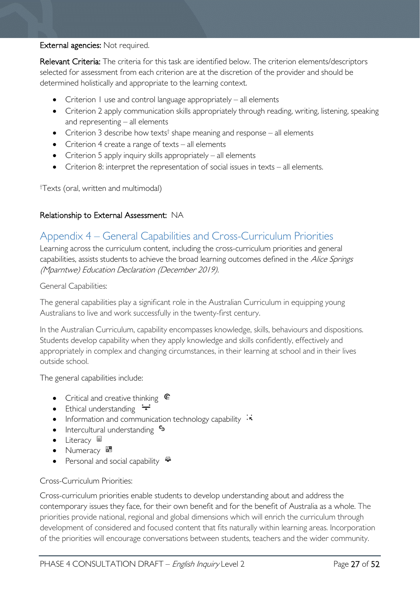#### External agencies: Not required.

Relevant Criteria: The criteria for this task are identified below. The criterion elements/descriptors selected for assessment from each criterion are at the discretion of the provider and should be determined holistically and appropriate to the learning context.

- Criterion 1 use and control language appropriately all elements
- Criterion 2 apply communication skills appropriately through reading, writing, listening, speaking and representing – all elements
- Criterion 3 describe how texts<sup>†</sup> shape meaning and response all elements
- Criterion 4 create a range of texts all elements
- Criterion 5 apply inquiry skills appropriately all elements
- Criterion 8: interpret the representation of social issues in texts all elements.

† Texts (oral, written and multimodal)

### Relationship to External Assessment: NA

# <span id="page-26-0"></span>Appendix 4 – General Capabilities and Cross-Curriculum Priorities

Learning across the curriculum content, including the cross-curriculum priorities and general capabilities, assists students to achieve the broad learning outcomes defined in the Alice Springs (Mparntwe) Education Declaration (December 2019).

#### General Capabilities:

The general capabilities play a significant role in the Australian Curriculum in equipping young Australians to live and work successfully in the twenty-first century.

In the Australian Curriculum, capability encompasses knowledge, skills, behaviours and dispositions. Students develop capability when they apply knowledge and skills confidently, effectively and appropriately in complex and changing circumstances, in their learning at school and in their lives outside school.

The general capabilities include:

- Critical and creative thinking
- Ethical understanding  $\div$
- Information and communication technology capability  $\cdot \cdot$
- Intercultural understanding •
- Literacy  $\blacksquare$
- Numeracy  $\overline{\mathbb{R}}$
- Personal and social capability  $\ddot{\bullet}$

#### Cross-Curriculum Priorities:

Cross-curriculum priorities enable students to develop understanding about and address the contemporary issues they face, for their own benefit and for the benefit of Australia as a whole. The priorities provide national, regional and global dimensions which will enrich the curriculum through development of considered and focused content that fits naturally within learning areas. Incorporation of the priorities will encourage conversations between students, teachers and the wider community.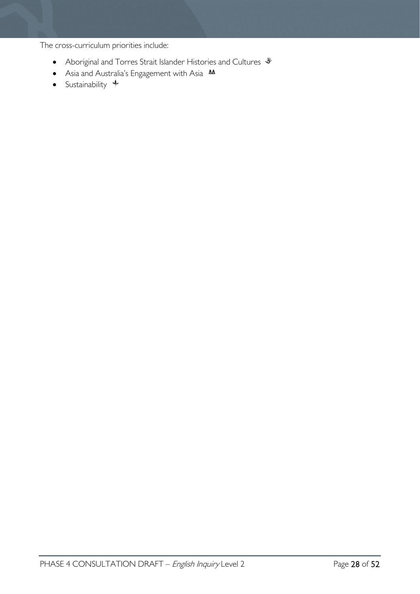The cross-curriculum priorities include:

- Aboriginal and Torres Strait Islander Histories and Cultures  $\mathcal *$
- Asia and Australia's Engagement with Asia  $AA$
- Sustainability  $\triangleleft$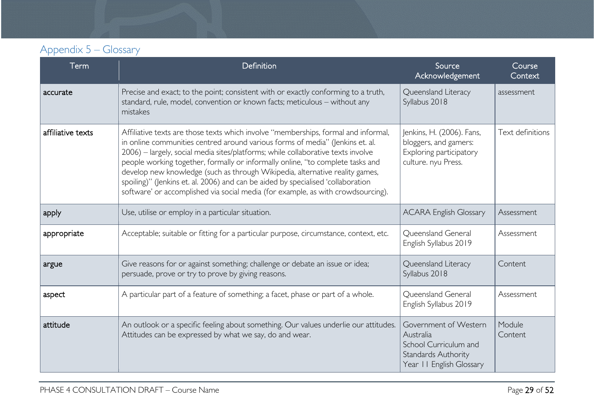# Appendix 5 – Glossary

<span id="page-28-0"></span>

| <b>Term</b>       | Definition                                                                                                                                                                                                                                                                                                                                                                                                                                                                                                                                                                                        | Source<br>Acknowledgement                                                                                             | Course<br>Context |
|-------------------|---------------------------------------------------------------------------------------------------------------------------------------------------------------------------------------------------------------------------------------------------------------------------------------------------------------------------------------------------------------------------------------------------------------------------------------------------------------------------------------------------------------------------------------------------------------------------------------------------|-----------------------------------------------------------------------------------------------------------------------|-------------------|
| accurate          | Precise and exact; to the point; consistent with or exactly conforming to a truth,<br>standard, rule, model, convention or known facts; meticulous - without any<br>mistakes                                                                                                                                                                                                                                                                                                                                                                                                                      | Queensland Literacy<br>Syllabus 2018                                                                                  | assessment        |
| affiliative texts | Affiliative texts are those texts which involve "memberships, formal and informal,<br>in online communities centred around various forms of media" (Jenkins et. al.<br>2006) - largely, social media sites/platforms; while collaborative texts involve<br>people working together, formally or informally online, "to complete tasks and<br>develop new knowledge (such as through Wikipedia, alternative reality games,<br>spoiling)" (Jenkins et. al. 2006) and can be aided by specialised 'collaboration<br>software' or accomplished via social media (for example, as with crowdsourcing). | Jenkins, H. (2006). Fans,<br>bloggers, and gamers:<br>Exploring participatory<br>culture. nyu Press.                  | Text definitions  |
| apply             | Use, utilise or employ in a particular situation.                                                                                                                                                                                                                                                                                                                                                                                                                                                                                                                                                 | <b>ACARA English Glossary</b>                                                                                         | Assessment        |
| appropriate       | Acceptable; suitable or fitting for a particular purpose, circumstance, context, etc.                                                                                                                                                                                                                                                                                                                                                                                                                                                                                                             | Queensland General<br>English Syllabus 2019                                                                           | Assessment        |
| argue             | Give reasons for or against something; challenge or debate an issue or idea;<br>persuade, prove or try to prove by giving reasons.                                                                                                                                                                                                                                                                                                                                                                                                                                                                | Queensland Literacy<br>Syllabus 2018                                                                                  | Content           |
| aspect            | A particular part of a feature of something; a facet, phase or part of a whole.                                                                                                                                                                                                                                                                                                                                                                                                                                                                                                                   | Queensland General<br>English Syllabus 2019                                                                           | Assessment        |
| attitude          | An outlook or a specific feeling about something. Our values underlie our attitudes.<br>Attitudes can be expressed by what we say, do and wear.                                                                                                                                                                                                                                                                                                                                                                                                                                                   | Government of Western<br>Australia<br>School Curriculum and<br><b>Standards Authority</b><br>Year II English Glossary | Module<br>Content |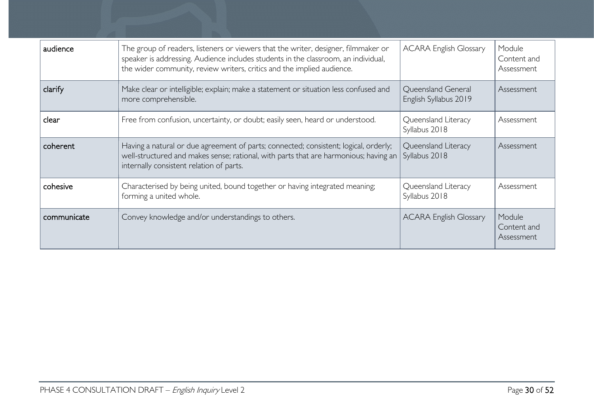| audience    | The group of readers, listeners or viewers that the writer, designer, filmmaker or<br>speaker is addressing. Audience includes students in the classroom, an individual,<br>the wider community, review writers, critics and the implied audience. | <b>ACARA English Glossary</b>               | Module<br>Content and<br>Assessment |
|-------------|----------------------------------------------------------------------------------------------------------------------------------------------------------------------------------------------------------------------------------------------------|---------------------------------------------|-------------------------------------|
| clarify     | Make clear or intelligible; explain; make a statement or situation less confused and<br>more comprehensible.                                                                                                                                       | Queensland General<br>English Syllabus 2019 | Assessment                          |
| clear       | Free from confusion, uncertainty, or doubt; easily seen, heard or understood.                                                                                                                                                                      | Queensland Literacy<br>Syllabus 2018        | Assessment                          |
| coherent    | Having a natural or due agreement of parts; connected; consistent; logical, orderly;<br>well-structured and makes sense; rational, with parts that are harmonious; having an<br>internally consistent relation of parts.                           | Queensland Literacy<br>Syllabus 2018        | Assessment                          |
| cohesive    | Characterised by being united, bound together or having integrated meaning;<br>forming a united whole.                                                                                                                                             | Queensland Literacy<br>Syllabus 2018        | Assessment                          |
| communicate | Convey knowledge and/or understandings to others.                                                                                                                                                                                                  | <b>ACARA English Glossary</b>               | Module<br>Content and<br>Assessment |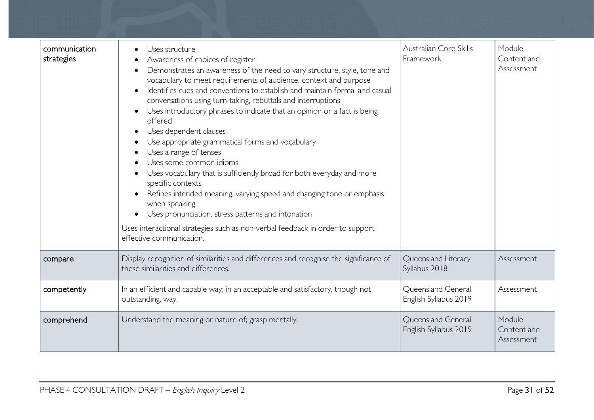| communication<br>strategies | Uses structure<br>Awareness of choices of register<br>Demonstrates an awareness of the need to vary structure, style, tone and<br>vocabulary to meet requirements of audience, context and purpose<br>Identifies cues and conventions to establish and maintain formal and casual<br>conversations using turn-taking, rebuttals and interruptions<br>Uses introductory phrases to indicate that an opinion or a fact is being<br>offered<br>Uses dependent clauses<br>Use appropriate grammatical forms and vocabulary<br>Uses a range of tenses<br>Uses some common idioms<br>Uses vocabulary that is sufficiently broad for both everyday and more<br>specific contexts<br>Refines intended meaning, varying speed and changing tone or emphasis<br>when speaking<br>Uses pronunciation, stress patterns and intonation<br>Uses interactional strategies such as non-verbal feedback in order to support<br>effective communication. | Australian Core Skills<br>Framework         | Module<br>Content and<br>Assessment |
|-----------------------------|----------------------------------------------------------------------------------------------------------------------------------------------------------------------------------------------------------------------------------------------------------------------------------------------------------------------------------------------------------------------------------------------------------------------------------------------------------------------------------------------------------------------------------------------------------------------------------------------------------------------------------------------------------------------------------------------------------------------------------------------------------------------------------------------------------------------------------------------------------------------------------------------------------------------------------------|---------------------------------------------|-------------------------------------|
| compare                     | Display recognition of similarities and differences and recognise the significance of<br>these similarities and differences.                                                                                                                                                                                                                                                                                                                                                                                                                                                                                                                                                                                                                                                                                                                                                                                                           | Queensland Literacy<br>Syllabus 2018        | Assessment                          |
| competently                 | In an efficient and capable way; in an acceptable and satisfactory, though not<br>outstanding, way.                                                                                                                                                                                                                                                                                                                                                                                                                                                                                                                                                                                                                                                                                                                                                                                                                                    | Queensland General<br>English Syllabus 2019 | Assessment                          |
| comprehend                  | Understand the meaning or nature of; grasp mentally.                                                                                                                                                                                                                                                                                                                                                                                                                                                                                                                                                                                                                                                                                                                                                                                                                                                                                   | Queensland General<br>English Syllabus 2019 | Module<br>Content and<br>Assessment |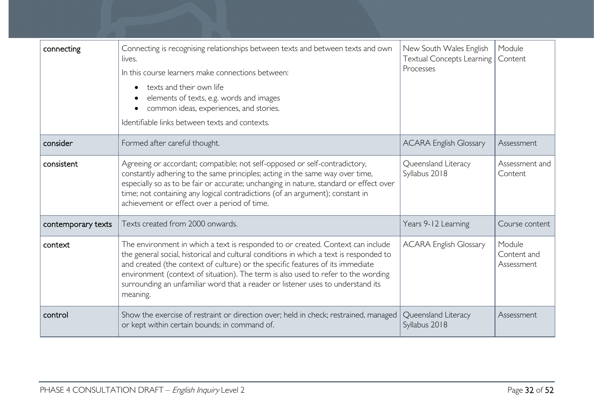| connecting         | Connecting is recognising relationships between texts and between texts and own<br>lives.<br>In this course learners make connections between:<br>texts and their own life<br>elements of texts, e.g. words and images<br>common ideas, experiences, and stories.<br>Identifiable links between texts and contexts.                                                                                                                             | New South Wales English<br><b>Textual Concepts Learning</b><br>Processes | Module<br>Content                   |
|--------------------|-------------------------------------------------------------------------------------------------------------------------------------------------------------------------------------------------------------------------------------------------------------------------------------------------------------------------------------------------------------------------------------------------------------------------------------------------|--------------------------------------------------------------------------|-------------------------------------|
| consider           | Formed after careful thought.                                                                                                                                                                                                                                                                                                                                                                                                                   | <b>ACARA English Glossary</b>                                            | Assessment                          |
| consistent         | Agreeing or accordant; compatible; not self-opposed or self-contradictory,<br>constantly adhering to the same principles; acting in the same way over time,<br>especially so as to be fair or accurate; unchanging in nature, standard or effect over<br>time; not containing any logical contradictions (of an argument); constant in<br>achievement or effect over a period of time.                                                          | Queensland Literacy<br>Syllabus 2018                                     | Assessment and<br>Content           |
| contemporary texts | Texts created from 2000 onwards.                                                                                                                                                                                                                                                                                                                                                                                                                | Years 9-12 Learning                                                      | Course content                      |
| context            | The environment in which a text is responded to or created. Context can include<br>the general social, historical and cultural conditions in which a text is responded to<br>and created (the context of culture) or the specific features of its immediate<br>environment (context of situation). The term is also used to refer to the wording<br>surrounding an unfamiliar word that a reader or listener uses to understand its<br>meaning. | <b>ACARA English Glossary</b>                                            | Module<br>Content and<br>Assessment |
| control            | Show the exercise of restraint or direction over; held in check; restrained, managed<br>or kept within certain bounds; in command of.                                                                                                                                                                                                                                                                                                           | Queensland Literacy<br>Syllabus 2018                                     | Assessment                          |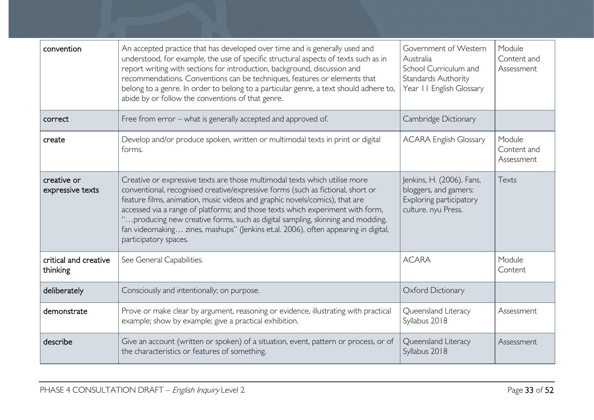| convention                        | An accepted practice that has developed over time and is generally used and<br>understood, for example, the use of specific structural aspects of texts such as in<br>report writing with sections for introduction, background, discussion and<br>recommendations. Conventions can be techniques, features or elements that<br>belong to a genre. In order to belong to a particular genre, a text should adhere to,<br>abide by or follow the conventions of that genre.                                                      | Government of Western<br>Australia<br>School Curriculum and<br>Standards Authority<br>Year II English Glossary | Module<br>Content and<br>Assessment |
|-----------------------------------|---------------------------------------------------------------------------------------------------------------------------------------------------------------------------------------------------------------------------------------------------------------------------------------------------------------------------------------------------------------------------------------------------------------------------------------------------------------------------------------------------------------------------------|----------------------------------------------------------------------------------------------------------------|-------------------------------------|
| correct                           | Free from error – what is generally accepted and approved of.                                                                                                                                                                                                                                                                                                                                                                                                                                                                   | Cambridge Dictionary                                                                                           |                                     |
| create                            | Develop and/or produce spoken, written or multimodal texts in print or digital<br>forms.                                                                                                                                                                                                                                                                                                                                                                                                                                        | <b>ACARA English Glossary</b>                                                                                  | Module<br>Content and<br>Assessment |
| creative or<br>expressive texts   | Creative or expressive texts are those multimodal texts which utilise more<br>conventional, recognised creative/expressive forms (such as fictional, short or<br>feature films, animation, music videos and graphic novels/comics), that are<br>accessed via a range of platforms; and those texts which experiment with form,<br>"producing new creative forms, such as digital sampling, skinning and modding,<br>fan videomaking zines, mashups" (Jenkins et.al. 2006), often appearing in digital,<br>participatory spaces. | Jenkins, H. (2006). Fans,<br>bloggers, and gamers:<br>Exploring participatory<br>culture. nyu Press.           | Texts                               |
| critical and creative<br>thinking | See General Capabilities.                                                                                                                                                                                                                                                                                                                                                                                                                                                                                                       | <b>ACARA</b>                                                                                                   | Module<br>Content                   |
| deliberately                      | Consciously and intentionally; on purpose.                                                                                                                                                                                                                                                                                                                                                                                                                                                                                      | Oxford Dictionary                                                                                              |                                     |
| demonstrate                       | Prove or make clear by argument, reasoning or evidence, illustrating with practical<br>example; show by example; give a practical exhibition.                                                                                                                                                                                                                                                                                                                                                                                   | Queensland Literacy<br>Syllabus 2018                                                                           | Assessment                          |
| describe                          | Give an account (written or spoken) of a situation, event, pattern or process, or of<br>the characteristics or features of something.                                                                                                                                                                                                                                                                                                                                                                                           | Queensland Literacy<br>Syllabus 2018                                                                           | Assessment                          |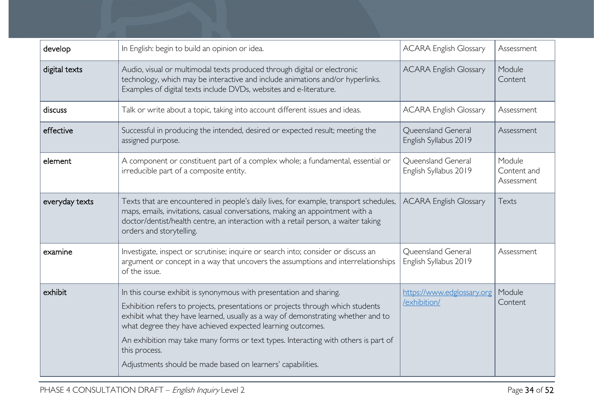| develop        | In English: begin to build an opinion or idea.                                                                                                                                                                                                                                                                                                                                                                                                                                  | <b>ACARA English Glossary</b>               | Assessment                          |
|----------------|---------------------------------------------------------------------------------------------------------------------------------------------------------------------------------------------------------------------------------------------------------------------------------------------------------------------------------------------------------------------------------------------------------------------------------------------------------------------------------|---------------------------------------------|-------------------------------------|
| digital texts  | Audio, visual or multimodal texts produced through digital or electronic<br>technology, which may be interactive and include animations and/or hyperlinks.<br>Examples of digital texts include DVDs, websites and e-literature.                                                                                                                                                                                                                                                | <b>ACARA English Glossary</b>               | Module<br>Content                   |
| discuss        | Talk or write about a topic, taking into account different issues and ideas.                                                                                                                                                                                                                                                                                                                                                                                                    | <b>ACARA English Glossary</b>               | Assessment                          |
| effective      | Successful in producing the intended, desired or expected result; meeting the<br>assigned purpose.                                                                                                                                                                                                                                                                                                                                                                              | Queensland General<br>English Syllabus 2019 | Assessment                          |
| element        | A component or constituent part of a complex whole; a fundamental, essential or<br>irreducible part of a composite entity.                                                                                                                                                                                                                                                                                                                                                      | Queensland General<br>English Syllabus 2019 | Module<br>Content and<br>Assessment |
| everyday texts | Texts that are encountered in people's daily lives, for example, transport schedules,<br>maps, emails, invitations, casual conversations, making an appointment with a<br>doctor/dentist/health centre, an interaction with a retail person, a waiter taking<br>orders and storytelling.                                                                                                                                                                                        | <b>ACARA English Glossary</b>               | Texts                               |
| examine        | Investigate, inspect or scrutinise; inquire or search into; consider or discuss an<br>argument or concept in a way that uncovers the assumptions and interrelationships<br>of the issue.                                                                                                                                                                                                                                                                                        | Queensland General<br>English Syllabus 2019 | Assessment                          |
| exhibit        | In this course exhibit is synonymous with presentation and sharing.<br>Exhibition refers to projects, presentations or projects through which students<br>exhibit what they have learned, usually as a way of demonstrating whether and to<br>what degree they have achieved expected learning outcomes.<br>An exhibition may take many forms or text types. Interacting with others is part of<br>this process.<br>Adjustments should be made based on learners' capabilities. | https://www.edglossary.org<br>/exhibition/  | Module<br>Content                   |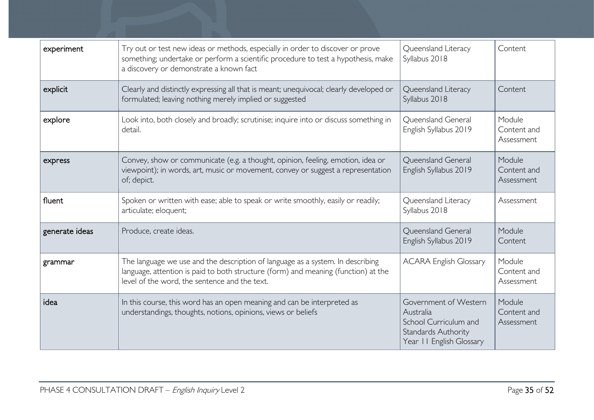| experiment     | Try out or test new ideas or methods, especially in order to discover or prove<br>something; undertake or perform a scientific procedure to test a hypothesis, make<br>a discovery or demonstrate a known fact        | Queensland Literacy<br>Syllabus 2018                                                                           | Content                             |
|----------------|-----------------------------------------------------------------------------------------------------------------------------------------------------------------------------------------------------------------------|----------------------------------------------------------------------------------------------------------------|-------------------------------------|
| explicit       | Clearly and distinctly expressing all that is meant; unequivocal; clearly developed or<br>formulated; leaving nothing merely implied or suggested                                                                     | Queensland Literacy<br>Syllabus 2018                                                                           | Content                             |
| explore        | Look into, both closely and broadly; scrutinise; inquire into or discuss something in<br>detail.                                                                                                                      | Queensland General<br>English Syllabus 2019                                                                    | Module<br>Content and<br>Assessment |
| express        | Convey, show or communicate (e.g. a thought, opinion, feeling, emotion, idea or<br>viewpoint); in words, art, music or movement, convey or suggest a representation<br>of; depict.                                    | Queensland General<br>English Syllabus 2019                                                                    | Module<br>Content and<br>Assessment |
| fluent         | Spoken or written with ease; able to speak or write smoothly, easily or readily;<br>articulate; eloquent;                                                                                                             | Queensland Literacy<br>Syllabus 2018                                                                           | Assessment                          |
| generate ideas | Produce, create ideas.                                                                                                                                                                                                | Queensland General<br>English Syllabus 2019                                                                    | Module<br>Content                   |
| grammar        | The language we use and the description of language as a system. In describing<br>language, attention is paid to both structure (form) and meaning (function) at the<br>level of the word, the sentence and the text. | <b>ACARA English Glossary</b>                                                                                  | Module<br>Content and<br>Assessment |
| idea           | In this course, this word has an open meaning and can be interpreted as<br>understandings, thoughts, notions, opinions, views or beliefs                                                                              | Government of Western<br>Australia<br>School Curriculum and<br>Standards Authority<br>Year II English Glossary | Module<br>Content and<br>Assessment |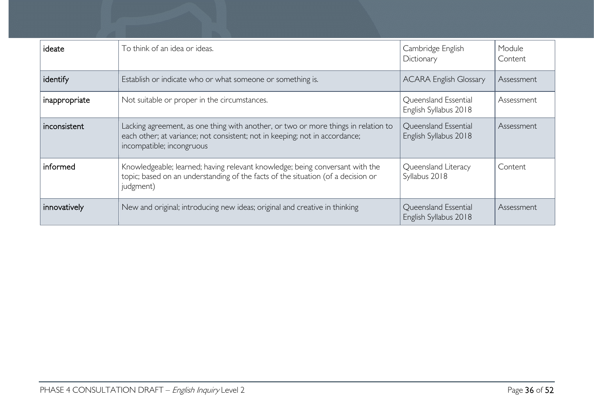| ideate        | To think of an idea or ideas.                                                                                                                                                                  | Cambridge English<br>Dictionary               | Module<br>Content |
|---------------|------------------------------------------------------------------------------------------------------------------------------------------------------------------------------------------------|-----------------------------------------------|-------------------|
| identify      | Establish or indicate who or what someone or something is.                                                                                                                                     | <b>ACARA English Glossary</b>                 | Assessment        |
| inappropriate | Not suitable or proper in the circumstances.                                                                                                                                                   | Queensland Essential<br>English Syllabus 2018 | Assessment        |
| inconsistent  | Lacking agreement, as one thing with another, or two or more things in relation to<br>each other; at variance; not consistent; not in keeping; not in accordance;<br>incompatible; incongruous | Queensland Essential<br>English Syllabus 2018 | Assessment        |
| informed      | Knowledgeable; learned; having relevant knowledge; being conversant with the<br>topic; based on an understanding of the facts of the situation (of a decision or<br>judgment)                  | Queensland Literacy<br>Syllabus 2018          | Content           |
| innovatively  | New and original; introducing new ideas; original and creative in thinking                                                                                                                     | Queensland Essential<br>English Syllabus 2018 | Assessment        |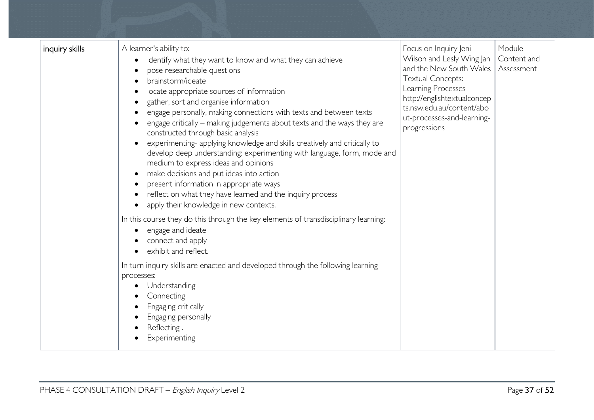| inquiry skills | A learner's ability to:<br>identify what they want to know and what they can achieve<br>pose researchable questions<br>brainstorm/ideate<br>locate appropriate sources of information<br>gather, sort and organise information<br>engage personally, making connections with texts and between texts<br>engage critically – making judgements about texts and the ways they are<br>constructed through basic analysis<br>experimenting- applying knowledge and skills creatively and critically to<br>develop deep understanding: experimenting with language, form, mode and<br>medium to express ideas and opinions<br>make decisions and put ideas into action<br>present information in appropriate ways<br>reflect on what they have learned and the inquiry process<br>apply their knowledge in new contexts.<br>In this course they do this through the key elements of transdisciplinary learning:<br>engage and ideate<br>connect and apply<br>exhibit and reflect. | Focus on Inquiry Jeni<br>Wilson and Lesly Wing Jan<br>and the New South Wales<br><b>Textual Concepts:</b><br>Learning Processes<br>http://englishtextualconcep<br>ts.nsw.edu.au/content/abo<br>ut-processes-and-learning-<br>progressions | Module<br>Content and<br>Assessment |
|----------------|------------------------------------------------------------------------------------------------------------------------------------------------------------------------------------------------------------------------------------------------------------------------------------------------------------------------------------------------------------------------------------------------------------------------------------------------------------------------------------------------------------------------------------------------------------------------------------------------------------------------------------------------------------------------------------------------------------------------------------------------------------------------------------------------------------------------------------------------------------------------------------------------------------------------------------------------------------------------------|-------------------------------------------------------------------------------------------------------------------------------------------------------------------------------------------------------------------------------------------|-------------------------------------|
|                | In turn inquiry skills are enacted and developed through the following learning<br>processes:<br>Understanding<br>Connecting<br>Engaging critically<br>Engaging personally<br>Reflecting.<br>Experimenting                                                                                                                                                                                                                                                                                                                                                                                                                                                                                                                                                                                                                                                                                                                                                                   |                                                                                                                                                                                                                                           |                                     |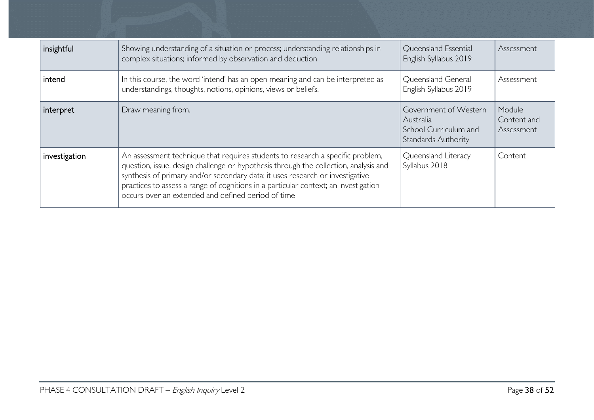| insightful    | Showing understanding of a situation or process; understanding relationships in<br>complex situations; informed by observation and deduction                                                                                                                                                                                                                                                         | Queensland Essential<br>English Syllabus 2019                                             | Assessment                          |
|---------------|------------------------------------------------------------------------------------------------------------------------------------------------------------------------------------------------------------------------------------------------------------------------------------------------------------------------------------------------------------------------------------------------------|-------------------------------------------------------------------------------------------|-------------------------------------|
| intend        | In this course, the word 'intend' has an open meaning and can be interpreted as<br>understandings, thoughts, notions, opinions, views or beliefs.                                                                                                                                                                                                                                                    | Queensland General<br>English Syllabus 2019                                               | Assessment                          |
| interpret     | Draw meaning from.                                                                                                                                                                                                                                                                                                                                                                                   | Government of Western<br>Australia<br>School Curriculum and<br><b>Standards Authority</b> | Module<br>Content and<br>Assessment |
| investigation | An assessment technique that requires students to research a specific problem,<br>question, issue, design challenge or hypothesis through the collection, analysis and<br>synthesis of primary and/or secondary data; it uses research or investigative<br>practices to assess a range of cognitions in a particular context; an investigation<br>occurs over an extended and defined period of time | Queensland Literacy<br>Syllabus 2018                                                      | Content                             |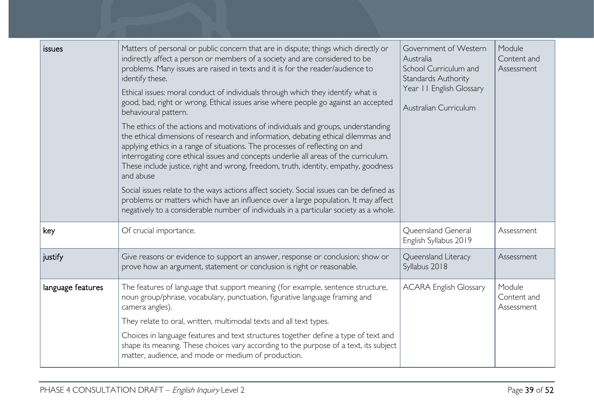| <i>issues</i>     | Matters of personal or public concern that are in dispute; things which directly or<br>indirectly affect a person or members of a society and are considered to be<br>problems. Many issues are raised in texts and it is for the reader/audience to<br>identify these.<br>Ethical issues: moral conduct of individuals through which they identify what is<br>good, bad, right or wrong. Ethical issues arise where people go against an accepted<br>behavioural pattern.<br>The ethics of the actions and motivations of individuals and groups, understanding<br>the ethical dimensions of research and information, debating ethical dilemmas and<br>applying ethics in a range of situations. The processes of reflecting on and<br>interrogating core ethical issues and concepts underlie all areas of the curriculum.<br>These include justice, right and wrong, freedom, truth, identity, empathy, goodness<br>and abuse<br>Social issues relate to the ways actions affect society. Social issues can be defined as<br>problems or matters which have an influence over a large population. It may affect<br>negatively to a considerable number of individuals in a particular society as a whole. | Government of Western<br>Australia<br>School Curriculum and<br>Standards Authority<br>Year II English Glossary<br>Australian Curriculum | Module<br>Content and<br>Assessment |
|-------------------|---------------------------------------------------------------------------------------------------------------------------------------------------------------------------------------------------------------------------------------------------------------------------------------------------------------------------------------------------------------------------------------------------------------------------------------------------------------------------------------------------------------------------------------------------------------------------------------------------------------------------------------------------------------------------------------------------------------------------------------------------------------------------------------------------------------------------------------------------------------------------------------------------------------------------------------------------------------------------------------------------------------------------------------------------------------------------------------------------------------------------------------------------------------------------------------------------------------|-----------------------------------------------------------------------------------------------------------------------------------------|-------------------------------------|
| key               | Of crucial importance.                                                                                                                                                                                                                                                                                                                                                                                                                                                                                                                                                                                                                                                                                                                                                                                                                                                                                                                                                                                                                                                                                                                                                                                        | Queensland General<br>English Syllabus 2019                                                                                             | Assessment                          |
| justify           | Give reasons or evidence to support an answer, response or conclusion; show or<br>prove how an argument, statement or conclusion is right or reasonable.                                                                                                                                                                                                                                                                                                                                                                                                                                                                                                                                                                                                                                                                                                                                                                                                                                                                                                                                                                                                                                                      | Queensland Literacy<br>Syllabus 2018                                                                                                    | Assessment                          |
| language features | The features of language that support meaning (for example, sentence structure,<br>noun group/phrase, vocabulary, punctuation, figurative language framing and<br>camera angles).<br>They relate to oral, written, multimodal texts and all text types.<br>Choices in language features and text structures together define a type of text and<br>shape its meaning. These choices vary according to the purpose of a text, its subject<br>matter, audience, and mode or medium of production.                                                                                                                                                                                                                                                                                                                                                                                                                                                                                                                                                                                                                                                                                                                | <b>ACARA English Glossary</b>                                                                                                           | Module<br>Content and<br>Assessment |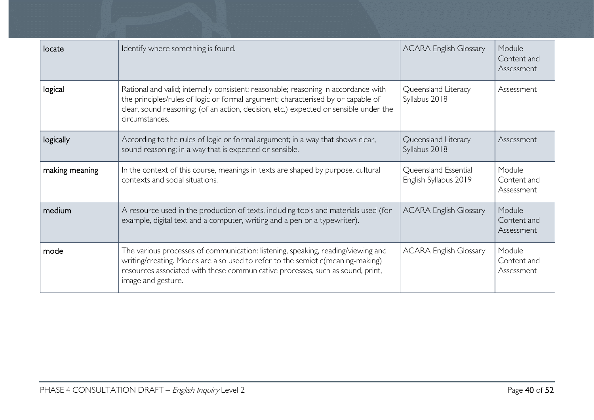| locate         | Identify where something is found.                                                                                                                                                                                                                                                 | <b>ACARA English Glossary</b>                 | Module<br>Content and<br>Assessment |
|----------------|------------------------------------------------------------------------------------------------------------------------------------------------------------------------------------------------------------------------------------------------------------------------------------|-----------------------------------------------|-------------------------------------|
| logical        | Rational and valid; internally consistent; reasonable; reasoning in accordance with<br>the principles/rules of logic or formal argument; characterised by or capable of<br>clear, sound reasoning; (of an action, decision, etc.) expected or sensible under the<br>circumstances. | Queensland Literacy<br>Syllabus 2018          | Assessment                          |
| logically      | According to the rules of logic or formal argument; in a way that shows clear,<br>sound reasoning; in a way that is expected or sensible.                                                                                                                                          | Queensland Literacy<br>Syllabus 2018          | Assessment                          |
| making meaning | In the context of this course, meanings in texts are shaped by purpose, cultural<br>contexts and social situations.                                                                                                                                                                | Queensland Essential<br>English Syllabus 2019 | Module<br>Content and<br>Assessment |
| medium         | A resource used in the production of texts, including tools and materials used (for<br>example, digital text and a computer, writing and a pen or a typewriter).                                                                                                                   | <b>ACARA English Glossary</b>                 | Module<br>Content and<br>Assessment |
| mode           | The various processes of communication: listening, speaking, reading/viewing and<br>writing/creating. Modes are also used to refer to the semiotic(meaning-making)<br>resources associated with these communicative processes, such as sound, print,<br>image and gesture.         | <b>ACARA English Glossary</b>                 | Module<br>Content and<br>Assessment |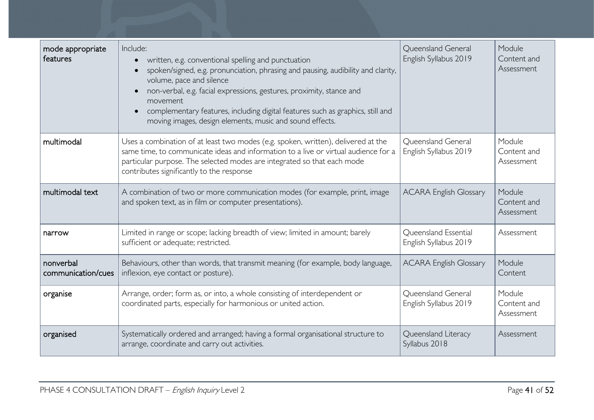| mode appropriate<br>features    | Include:<br>written, e.g. conventional spelling and punctuation<br>spoken/signed, e.g. pronunciation, phrasing and pausing, audibility and clarity,<br>volume, pace and silence<br>non-verbal, e.g. facial expressions, gestures, proximity, stance and<br>movement<br>complementary features, including digital features such as graphics, still and<br>moving images, design elements, music and sound effects. | Queensland General<br>English Syllabus 2019   | Module<br>Content and<br>Assessment |
|---------------------------------|-------------------------------------------------------------------------------------------------------------------------------------------------------------------------------------------------------------------------------------------------------------------------------------------------------------------------------------------------------------------------------------------------------------------|-----------------------------------------------|-------------------------------------|
| multimodal                      | Uses a combination of at least two modes (e.g. spoken, written), delivered at the<br>same time, to communicate ideas and information to a live or virtual audience for a<br>particular purpose. The selected modes are integrated so that each mode<br>contributes significantly to the response                                                                                                                  | Queensland General<br>English Syllabus 2019   | Module<br>Content and<br>Assessment |
| multimodal text                 | A combination of two or more communication modes (for example, print, image<br>and spoken text, as in film or computer presentations).                                                                                                                                                                                                                                                                            | <b>ACARA English Glossary</b>                 | Module<br>Content and<br>Assessment |
| narrow                          | Limited in range or scope; lacking breadth of view; limited in amount; barely<br>sufficient or adequate; restricted.                                                                                                                                                                                                                                                                                              | Queensland Essential<br>English Syllabus 2019 | Assessment                          |
| nonverbal<br>communication/cues | Behaviours, other than words, that transmit meaning (for example, body language,<br>inflexion, eye contact or posture).                                                                                                                                                                                                                                                                                           | <b>ACARA English Glossary</b>                 | Module<br>Content                   |
| organise                        | Arrange, order; form as, or into, a whole consisting of interdependent or<br>coordinated parts, especially for harmonious or united action.                                                                                                                                                                                                                                                                       | Queensland General<br>English Syllabus 2019   | Module<br>Content and<br>Assessment |
| organised                       | Systematically ordered and arranged; having a formal organisational structure to<br>arrange, coordinate and carry out activities.                                                                                                                                                                                                                                                                                 | Queensland Literacy<br>Syllabus 2018          | Assessment                          |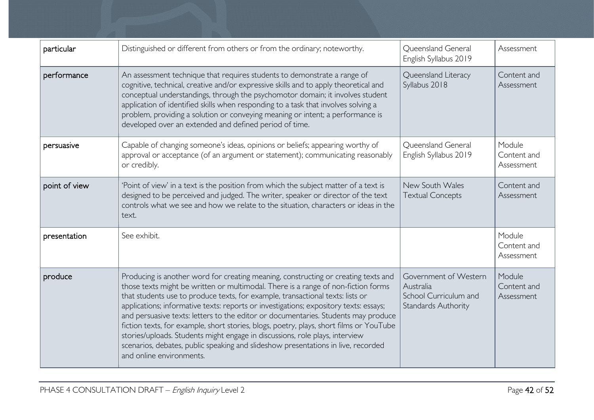| particular    | Distinguished or different from others or from the ordinary; noteworthy.                                                                                                                                                                                                                                                                                                                                                                                                                                                                                                                                                                                                                                                             | Queensland General<br>English Syllabus 2019                                               | Assessment                          |
|---------------|--------------------------------------------------------------------------------------------------------------------------------------------------------------------------------------------------------------------------------------------------------------------------------------------------------------------------------------------------------------------------------------------------------------------------------------------------------------------------------------------------------------------------------------------------------------------------------------------------------------------------------------------------------------------------------------------------------------------------------------|-------------------------------------------------------------------------------------------|-------------------------------------|
| performance   | An assessment technique that requires students to demonstrate a range of<br>cognitive, technical, creative and/or expressive skills and to apply theoretical and<br>conceptual understandings, through the psychomotor domain; it involves student<br>application of identified skills when responding to a task that involves solving a<br>problem, providing a solution or conveying meaning or intent; a performance is<br>developed over an extended and defined period of time.                                                                                                                                                                                                                                                 |                                                                                           | Content and<br>Assessment           |
| persuasive    | Capable of changing someone's ideas, opinions or beliefs; appearing worthy of<br>approval or acceptance (of an argument or statement); communicating reasonably<br>or credibly.                                                                                                                                                                                                                                                                                                                                                                                                                                                                                                                                                      | Queensland General<br>English Syllabus 2019                                               | Module<br>Content and<br>Assessment |
| point of view | 'Point of view' in a text is the position from which the subject matter of a text is<br>designed to be perceived and judged. The writer, speaker or director of the text<br>controls what we see and how we relate to the situation, characters or ideas in the<br>text.                                                                                                                                                                                                                                                                                                                                                                                                                                                             | New South Wales<br><b>Textual Concepts</b>                                                | Content and<br>Assessment           |
| presentation  | See exhibit.                                                                                                                                                                                                                                                                                                                                                                                                                                                                                                                                                                                                                                                                                                                         |                                                                                           | Module<br>Content and<br>Assessment |
| produce       | Producing is another word for creating meaning, constructing or creating texts and<br>those texts might be written or multimodal. There is a range of non-fiction forms<br>that students use to produce texts, for example, transactional texts: lists or<br>applications; informative texts: reports or investigations; expository texts: essays;<br>and persuasive texts: letters to the editor or documentaries. Students may produce<br>fiction texts, for example, short stories, blogs, poetry, plays, short films or YouTube<br>stories/uploads. Students might engage in discussions, role plays, interview<br>scenarios, debates, public speaking and slideshow presentations in live, recorded<br>and online environments. | Government of Western<br>Australia<br>School Curriculum and<br><b>Standards Authority</b> | Module<br>Content and<br>Assessment |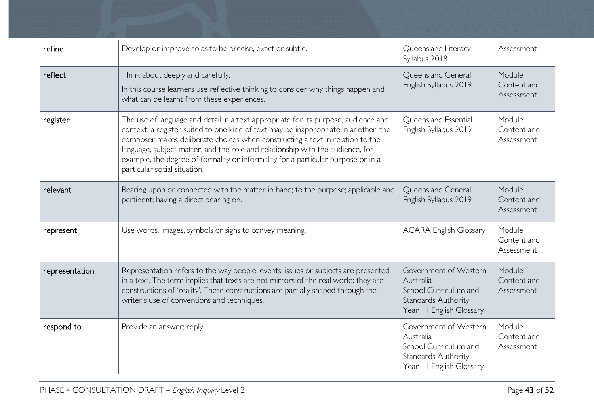| refine         | Develop or improve so as to be precise, exact or subtle.                                                                                                                                                                                                                                                                                                                                                                                                         | Queensland Literacy<br>Syllabus 2018                                                                           | Assessment                          |
|----------------|------------------------------------------------------------------------------------------------------------------------------------------------------------------------------------------------------------------------------------------------------------------------------------------------------------------------------------------------------------------------------------------------------------------------------------------------------------------|----------------------------------------------------------------------------------------------------------------|-------------------------------------|
| reflect        | Think about deeply and carefully.<br>In this course learners use reflective thinking to consider why things happen and<br>what can be learnt from these experiences.                                                                                                                                                                                                                                                                                             | Queensland General<br>English Syllabus 2019                                                                    | Module<br>Content and<br>Assessment |
| register       | The use of language and detail in a text appropriate for its purpose, audience and<br>context; a register suited to one kind of text may be inappropriate in another; the<br>composer makes deliberate choices when constructing a text in relation to the<br>language, subject matter, and the role and relationship with the audience, for<br>example, the degree of formality or informality for a particular purpose or in a<br>particular social situation. | Queensland Essential<br>English Syllabus 2019                                                                  | Module<br>Content and<br>Assessment |
| relevant       | Bearing upon or connected with the matter in hand; to the purpose; applicable and<br>pertinent; having a direct bearing on.                                                                                                                                                                                                                                                                                                                                      | Queensland General<br>English Syllabus 2019                                                                    | Module<br>Content and<br>Assessment |
| represent      | Use words, images, symbols or signs to convey meaning.                                                                                                                                                                                                                                                                                                                                                                                                           | <b>ACARA English Glossary</b>                                                                                  | Module<br>Content and<br>Assessment |
| representation | Representation refers to the way people, events, issues or subjects are presented<br>in a text. The term implies that texts are not mirrors of the real world: they are<br>constructions of 'reality'. These constructions are partially shaped through the<br>writer's use of conventions and techniques.                                                                                                                                                       | Government of Western<br>Australia<br>School Curriculum and<br>Standards Authority<br>Year II English Glossary | Module<br>Content and<br>Assessment |
| respond to     | Provide an answer; reply.                                                                                                                                                                                                                                                                                                                                                                                                                                        | Government of Western<br>Australia<br>School Curriculum and<br>Standards Authority<br>Year II English Glossary | Module<br>Content and<br>Assessment |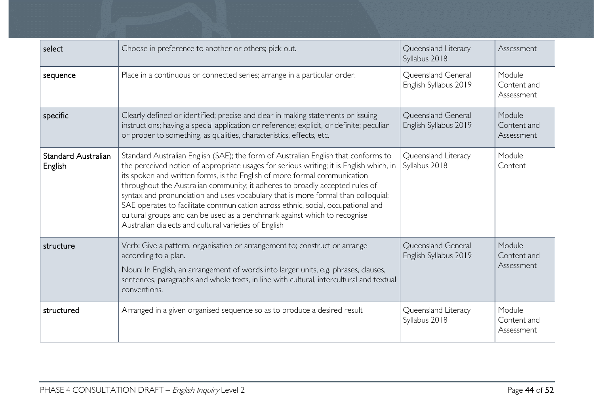| select                                | Choose in preference to another or others; pick out.                                                                                                                                                                                                                                                                                                                                                                                                                                                                                                                                                                                                      | Queensland Literacy<br>Syllabus 2018        | Assessment                          |
|---------------------------------------|-----------------------------------------------------------------------------------------------------------------------------------------------------------------------------------------------------------------------------------------------------------------------------------------------------------------------------------------------------------------------------------------------------------------------------------------------------------------------------------------------------------------------------------------------------------------------------------------------------------------------------------------------------------|---------------------------------------------|-------------------------------------|
| sequence                              | Place in a continuous or connected series; arrange in a particular order.                                                                                                                                                                                                                                                                                                                                                                                                                                                                                                                                                                                 | Queensland General<br>English Syllabus 2019 | Module<br>Content and<br>Assessment |
| specific                              | Clearly defined or identified; precise and clear in making statements or issuing<br>instructions; having a special application or reference; explicit, or definite; peculiar<br>or proper to something, as qualities, characteristics, effects, etc.                                                                                                                                                                                                                                                                                                                                                                                                      | Queensland General<br>English Syllabus 2019 | Module<br>Content and<br>Assessment |
| <b>Standard Australian</b><br>English | Standard Australian English (SAE); the form of Australian English that conforms to<br>the perceived notion of appropriate usages for serious writing; it is English which, in<br>its spoken and written forms, is the English of more formal communication<br>throughout the Australian community; it adheres to broadly accepted rules of<br>syntax and pronunciation and uses vocabulary that is more formal than colloquial;<br>SAE operates to facilitate communication across ethnic, social, occupational and<br>cultural groups and can be used as a benchmark against which to recognise<br>Australian dialects and cultural varieties of English | Queensland Literacy<br>Syllabus 2018        | Module<br>Content                   |
| structure                             | Verb: Give a pattern, organisation or arrangement to; construct or arrange<br>according to a plan.<br>Noun: In English, an arrangement of words into larger units, e.g. phrases, clauses,<br>sentences, paragraphs and whole texts, in line with cultural, intercultural and textual<br>conventions.                                                                                                                                                                                                                                                                                                                                                      | Queensland General<br>English Syllabus 2019 | Module<br>Content and<br>Assessment |
| structured                            | Arranged in a given organised sequence so as to produce a desired result                                                                                                                                                                                                                                                                                                                                                                                                                                                                                                                                                                                  | Queensland Literacy<br>Syllabus 2018        | Module<br>Content and<br>Assessment |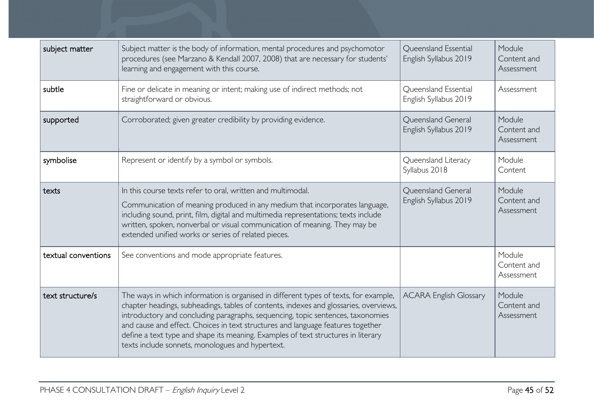| subject matter      | Subject matter is the body of information, mental procedures and psychomotor<br>procedures (see Marzano & Kendall 2007, 2008) that are necessary for students'<br>learning and engagement with this course.                                                                                                                                                                                                                                                                                  | Queensland Essential<br>English Syllabus 2019 | Module<br>Content and<br>Assessment |
|---------------------|----------------------------------------------------------------------------------------------------------------------------------------------------------------------------------------------------------------------------------------------------------------------------------------------------------------------------------------------------------------------------------------------------------------------------------------------------------------------------------------------|-----------------------------------------------|-------------------------------------|
| subtle              | Fine or delicate in meaning or intent; making use of indirect methods; not<br>straightforward or obvious.                                                                                                                                                                                                                                                                                                                                                                                    | Queensland Essential<br>English Syllabus 2019 | Assessment                          |
| supported           | Corroborated; given greater credibility by providing evidence.                                                                                                                                                                                                                                                                                                                                                                                                                               | Queensland General<br>English Syllabus 2019   | Module<br>Content and<br>Assessment |
| symbolise           | Represent or identify by a symbol or symbols.                                                                                                                                                                                                                                                                                                                                                                                                                                                | Queensland Literacy<br>Syllabus 2018          | Module<br>Content                   |
| texts               | In this course texts refer to oral, written and multimodal.<br>Communication of meaning produced in any medium that incorporates language,<br>including sound, print, film, digital and multimedia representations; texts include<br>written, spoken, nonverbal or visual communication of meaning. They may be<br>extended unified works or series of related pieces.                                                                                                                       | Queensland General<br>English Syllabus 2019   | Module<br>Content and<br>Assessment |
| textual conventions | See conventions and mode appropriate features.                                                                                                                                                                                                                                                                                                                                                                                                                                               |                                               | Module<br>Content and<br>Assessment |
| text structure/s    | The ways in which information is organised in different types of texts, for example,<br>chapter headings, subheadings, tables of contents, indexes and glossaries, overviews,<br>introductory and concluding paragraphs, sequencing, topic sentences, taxonomies<br>and cause and effect. Choices in text structures and language features together<br>define a text type and shape its meaning. Examples of text structures in literary<br>texts include sonnets, monologues and hypertext. | <b>ACARA English Glossary</b>                 | Module<br>Content and<br>Assessment |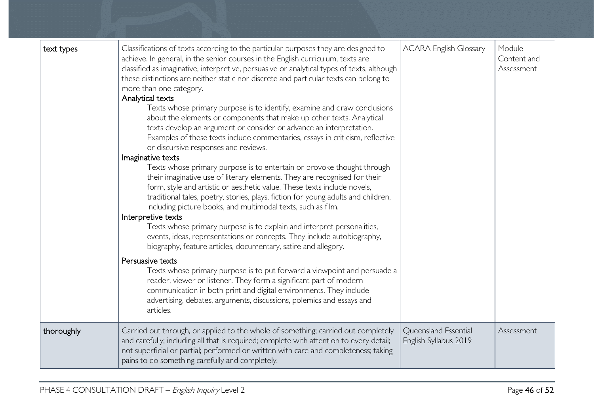| text types | Classifications of texts according to the particular purposes they are designed to<br>achieve. In general, in the senior courses in the English curriculum, texts are<br>classified as imaginative, interpretive, persuasive or analytical types of texts, although<br>these distinctions are neither static nor discrete and particular texts can belong to<br>more than one category.<br>Analytical texts<br>Texts whose primary purpose is to identify, examine and draw conclusions<br>about the elements or components that make up other texts. Analytical<br>texts develop an argument or consider or advance an interpretation.<br>Examples of these texts include commentaries, essays in criticism, reflective<br>or discursive responses and reviews.<br>Imaginative texts<br>Texts whose primary purpose is to entertain or provoke thought through<br>their imaginative use of literary elements. They are recognised for their<br>form, style and artistic or aesthetic value. These texts include novels,<br>traditional tales, poetry, stories, plays, fiction for young adults and children,<br>including picture books, and multimodal texts, such as film.<br>Interpretive texts<br>Texts whose primary purpose is to explain and interpret personalities,<br>events, ideas, representations or concepts. They include autobiography,<br>biography, feature articles, documentary, satire and allegory.<br>Persuasive texts<br>Texts whose primary purpose is to put forward a viewpoint and persuade a<br>reader, viewer or listener. They form a significant part of modern<br>communication in both print and digital environments. They include<br>advertising, debates, arguments, discussions, polemics and essays and<br>articles. | <b>ACARA English Glossary</b>                 | Module<br>Content and<br>Assessment |
|------------|--------------------------------------------------------------------------------------------------------------------------------------------------------------------------------------------------------------------------------------------------------------------------------------------------------------------------------------------------------------------------------------------------------------------------------------------------------------------------------------------------------------------------------------------------------------------------------------------------------------------------------------------------------------------------------------------------------------------------------------------------------------------------------------------------------------------------------------------------------------------------------------------------------------------------------------------------------------------------------------------------------------------------------------------------------------------------------------------------------------------------------------------------------------------------------------------------------------------------------------------------------------------------------------------------------------------------------------------------------------------------------------------------------------------------------------------------------------------------------------------------------------------------------------------------------------------------------------------------------------------------------------------------------------------------------------------------------------------------------------------------------------|-----------------------------------------------|-------------------------------------|
| thoroughly | Carried out through, or applied to the whole of something; carried out completely<br>and carefully; including all that is required; complete with attention to every detail;<br>not superficial or partial; performed or written with care and completeness; taking<br>pains to do something carefully and completely.                                                                                                                                                                                                                                                                                                                                                                                                                                                                                                                                                                                                                                                                                                                                                                                                                                                                                                                                                                                                                                                                                                                                                                                                                                                                                                                                                                                                                                       | Queensland Essential<br>English Syllabus 2019 | Assessment                          |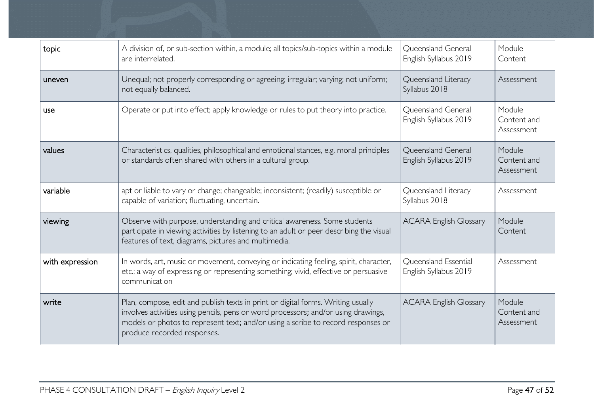| topic           | A division of, or sub-section within, a module; all topics/sub-topics within a module<br>are interrelated.                                                                                                                                                                                | Queensland General<br>English Syllabus 2019   | Module<br>Content                   |
|-----------------|-------------------------------------------------------------------------------------------------------------------------------------------------------------------------------------------------------------------------------------------------------------------------------------------|-----------------------------------------------|-------------------------------------|
| uneven          | Unequal; not properly corresponding or agreeing; irregular; varying; not uniform;<br>Queensland Literacy<br>Syllabus 2018<br>not equally balanced.                                                                                                                                        |                                               | Assessment                          |
| use             | Operate or put into effect; apply knowledge or rules to put theory into practice.                                                                                                                                                                                                         | Queensland General<br>English Syllabus 2019   | Module<br>Content and<br>Assessment |
| values          | Characteristics, qualities, philosophical and emotional stances, e.g. moral principles<br>or standards often shared with others in a cultural group.                                                                                                                                      | Queensland General<br>English Syllabus 2019   | Module<br>Content and<br>Assessment |
| variable        | apt or liable to vary or change; changeable; inconsistent; (readily) susceptible or<br>capable of variation; fluctuating, uncertain.                                                                                                                                                      | Queensland Literacy<br>Syllabus 2018          | Assessment                          |
| viewing         | Observe with purpose, understanding and critical awareness. Some students<br>participate in viewing activities by listening to an adult or peer describing the visual<br>features of text, diagrams, pictures and multimedia.                                                             | <b>ACARA English Glossary</b>                 | Module<br>Content                   |
| with expression | In words, art, music or movement, conveying or indicating feeling, spirit, character,<br>etc.; a way of expressing or representing something; vivid, effective or persuasive<br>communication                                                                                             | Queensland Essential<br>English Syllabus 2019 | Assessment                          |
| write           | Plan, compose, edit and publish texts in print or digital forms. Writing usually<br>involves activities using pencils, pens or word processors; and/or using drawings,<br>models or photos to represent text; and/or using a scribe to record responses or<br>produce recorded responses. | <b>ACARA English Glossary</b>                 | Module<br>Content and<br>Assessment |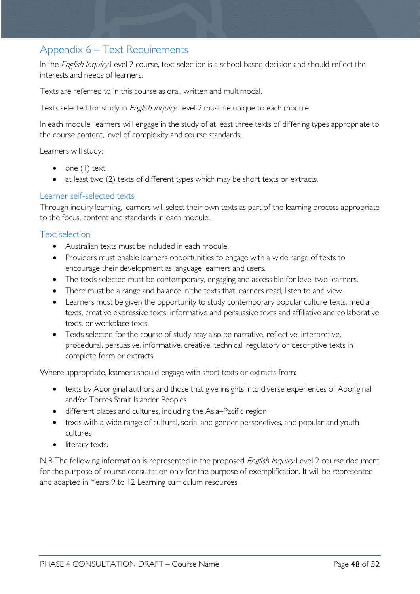# <span id="page-47-0"></span>Appendix 6 – Text Requirements

In the *English Inquiry* Level 2 course, text selection is a school-based decision and should reflect the interests and needs of learners.

Texts are referred to in this course as oral, written and multimodal.

Texts selected for study in *English Inquiry* Level 2 must be unique to each module.

In each module, learners will engage in the study of at least three texts of differing types appropriate to the course content, level of complexity and course standards.

Learners will study:

- one  $(1)$  text
- at least two (2) texts of different types which may be short texts or extracts.

### <span id="page-47-1"></span>Learner self-selected texts

Through inquiry learning, learners will select their own texts as part of the learning process appropriate to the focus, content and standards in each module.

#### <span id="page-47-2"></span>Text selection

- Australian texts must be included in each module.
- Providers must enable learners opportunities to engage with a wide range of texts to encourage their development as language learners and users.
- The texts selected must be contemporary, engaging and accessible for level two learners.
- There must be a range and balance in the texts that learners read, listen to and view.
- Learners must be given the opportunity to study contemporary popular culture texts, media texts, creative expressive texts, informative and persuasive texts and affiliative and collaborative texts, or workplace texts.
- Texts selected for the course of study may also be narrative, reflective, interpretive, procedural, persuasive, informative, creative, technical, regulatory or descriptive texts in complete form or extracts.

Where appropriate, learners should engage with short texts or extracts from:

- texts by Aboriginal authors and those that give insights into diverse experiences of Aboriginal and/or Torres Strait Islander Peoples
- different places and cultures, including the Asia–Pacific region
- texts with a wide range of cultural, social and gender perspectives, and popular and youth cultures
- literary texts.

N.B The following information is represented in the proposed *English Inquiry* Level 2 course document for the purpose of course consultation only for the purpose of exemplification. It will be represented and adapted in Years 9 to 12 Learning curriculum resources.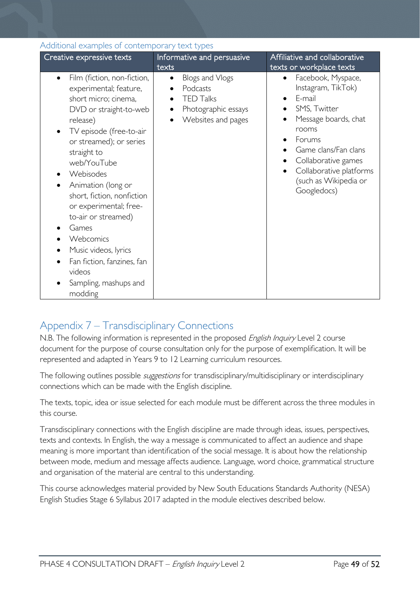<span id="page-48-0"></span>

| Additional examples of contemporary text types                                                                                                                                                                                                                                                                                                                                                                                                                   |                                                                                                           |                                                                                                                                                                                                                                                                |  |  |
|------------------------------------------------------------------------------------------------------------------------------------------------------------------------------------------------------------------------------------------------------------------------------------------------------------------------------------------------------------------------------------------------------------------------------------------------------------------|-----------------------------------------------------------------------------------------------------------|----------------------------------------------------------------------------------------------------------------------------------------------------------------------------------------------------------------------------------------------------------------|--|--|
| Creative expressive texts                                                                                                                                                                                                                                                                                                                                                                                                                                        | Informative and persuasive<br>texts                                                                       | Affiliative and collaborative<br>texts or workplace texts                                                                                                                                                                                                      |  |  |
| Film (fiction, non-fiction,<br>$\bullet$<br>experimental; feature,<br>short micro; cinema,<br>DVD or straight-to-web<br>release)<br>TV episode (free-to-air<br>or streamed); or series<br>straight to<br>web/YouTube<br>Webisodes<br>Animation (long or<br>short, fiction, nonfiction<br>or experimental; free-<br>to-air or streamed)<br>Games<br>Webcomics<br>Music videos, lyrics<br>Fan fiction, fanzines, fan<br>videos<br>Sampling, mashups and<br>modding | Blogs and Vlogs<br>$\bullet$<br>Podcasts<br><b>TED Talks</b><br>Photographic essays<br>Websites and pages | Facebook, Myspace,<br>٠<br>Instagram, TikTok)<br>E-mail<br>$\bullet$<br>SMS, Twitter<br>Message boards, chat<br>$\bullet$<br>rooms<br>Forums<br>Game clans/Fan clans<br>Collaborative games<br>Collaborative platforms<br>(such as Wikipedia or<br>Googledocs) |  |  |

# <span id="page-48-1"></span>Appendix 7 – Transdisciplinary Connections

N.B. The following information is represented in the proposed *English Inquiry* Level 2 course document for the purpose of course consultation only for the purpose of exemplification. It will be represented and adapted in Years 9 to 12 Learning curriculum resources.

The following outlines possible *suggestions* for transdisciplinary/multidisciplinary or interdisciplinary connections which can be made with the English discipline.

The texts, topic, idea or issue selected for each module must be different across the three modules in this course.

Transdisciplinary connections with the English discipline are made through ideas, issues, perspectives, texts and contexts. In English, the way a message is communicated to affect an audience and shape meaning is more important than identification of the social message. It is about how the relationship between mode, medium and message affects audience. Language, word choice, grammatical structure and organisation of the material are central to this understanding.

This course acknowledges material provided by New South Educations Standards Authority (NESA) English Studies Stage 6 Syllabus 2017 adapted in the module electives described below.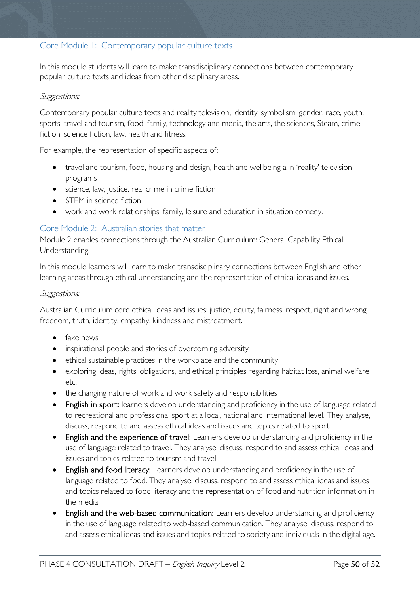### <span id="page-49-0"></span>Core Module 1: Contemporary popular culture texts

In this module students will learn to make transdisciplinary connections between contemporary popular culture texts and ideas from other disciplinary areas.

#### Suggestions:

Contemporary popular culture texts and reality television, identity, symbolism, gender, race, youth, sports, travel and tourism, food, family, technology and media, the arts, the sciences, Steam, crime fiction, science fiction, law, health and fitness.

For example, the representation of specific aspects of:

- travel and tourism, food, housing and design, health and wellbeing a in 'reality' television programs
- science, law, justice, real crime in crime fiction
- STEM in science fiction
- work and work relationships, family, leisure and education in situation comedy.

### <span id="page-49-1"></span>Core Module 2: Australian stories that matter

Module 2 enables connections through the Australian Curriculum: General Capability Ethical Understanding.

In this module learners will learn to make transdisciplinary connections between English and other learning areas through ethical understanding and the representation of ethical ideas and issues.

#### Suggestions:

Australian Curriculum core ethical ideas and issues: justice, equity, fairness, respect, right and wrong, freedom, truth, identity, empathy, kindness and mistreatment.

- fake news
- inspirational people and stories of overcoming adversity
- ethical sustainable practices in the workplace and the community
- exploring ideas, rights, obligations, and ethical principles regarding habitat loss, animal welfare etc.
- the changing nature of work and work safety and responsibilities
- English in sport: learners develop understanding and proficiency in the use of language related to recreational and professional sport at a local, national and international level. They analyse, discuss, respond to and assess ethical ideas and issues and topics related to sport.
- English and the experience of travel: Learners develop understanding and proficiency in the use of language related to travel. They analyse, discuss, respond to and assess ethical ideas and issues and topics related to tourism and travel.
- English and food literacy: Learners develop understanding and proficiency in the use of language related to food. They analyse, discuss, respond to and assess ethical ideas and issues and topics related to food literacy and the representation of food and nutrition information in the media.
- English and the web-based communication: Learners develop understanding and proficiency in the use of language related to web-based communication. They analyse, discuss, respond to and assess ethical ideas and issues and topics related to society and individuals in the digital age.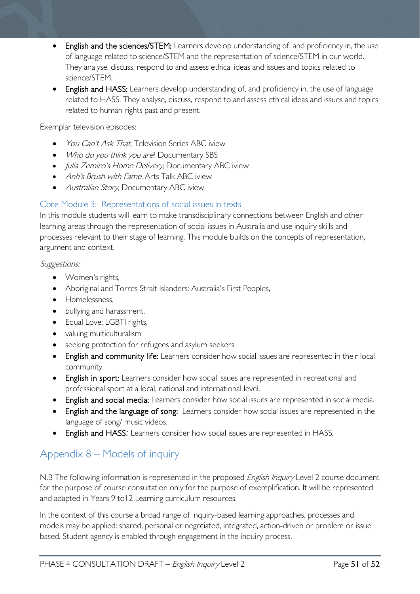- English and the sciences/STEM: Learners develop understanding of, and proficiency in, the use of language related to science/STEM and the representation of science/STEM in our world. They analyse, discuss, respond to and assess ethical ideas and issues and topics related to science/STEM.
- English and HASS: Learners develop understanding of, and proficiency in, the use of language related to HASS. They analyse, discuss, respond to and assess ethical ideas and issues and topics related to human rights past and present.

Exemplar television episodes:

- *You Can't Ask That*, Television Series ABC iview
- Who do you think you are? Documentary SBS
- *Julia Zemiro's Home Delivery*, Documentary ABC iview
- Anh's Brush with Fame, Arts Talk ABC iview
- Australian Story, Documentary ABC iview

### <span id="page-50-0"></span>Core Module 3: Representations of social issues in texts

In this module students will learn to make transdisciplinary connections between English and other learning areas through the representation of social issues in Australia and use inquiry skills and processes relevant to their stage of learning. This module builds on the concepts of representation, argument and context.

#### Suggestions:

- Women's rights,
- Aboriginal and Torres Strait Islanders: Australia's First Peoples,
- Homelessness,
- bullying and harassment,
- Equal Love: LGBTI rights,
- valuing multiculturalism
- seeking protection for refugees and asylum seekers
- English and community life: Learners consider how social issues are represented in their local community.
- English in sport: Learners consider how social issues are represented in recreational and professional sport at a local, national and international level.
- English and social media: Learners consider how social issues are represented in social media.
- English and the language of song: Learners consider how social issues are represented in the language of song/ music videos.
- English and HASS*:* Learners consider how social issues are represented in HASS.

# <span id="page-50-1"></span>Appendix 8 – Models of inquiry

N.B The following information is represented in the proposed *English Inquiry* Level 2 course document for the purpose of course consultation only for the purpose of exemplification. It will be represented and adapted in Years 9 to12 Learning curriculum resources.

In the context of this course a broad range of inquiry-based learning approaches, processes and models may be applied: shared, personal or negotiated, integrated, action-driven or problem or issue based. Student agency is enabled through engagement in the inquiry process.